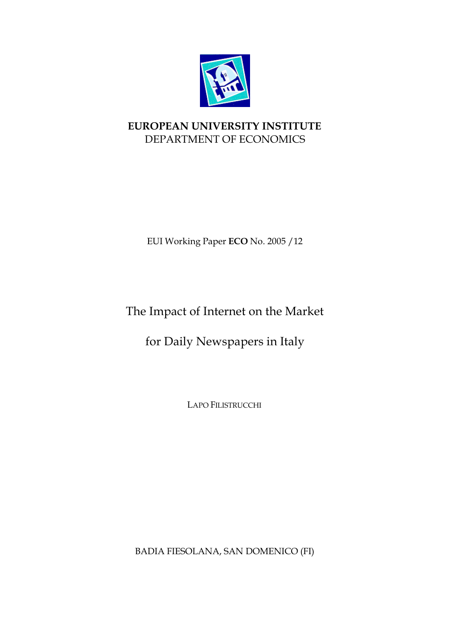

# **EUROPEAN UNIVERSITY INSTITUTE** DEPARTMENT OF ECONOMICS

EUI Working Paper **ECO** No. 2005 /12

# The Impact of Internet on the Market

for Daily Newspapers in Italy

LAPO FILISTRUCCHI

BADIA FIESOLANA, SAN DOMENICO (FI)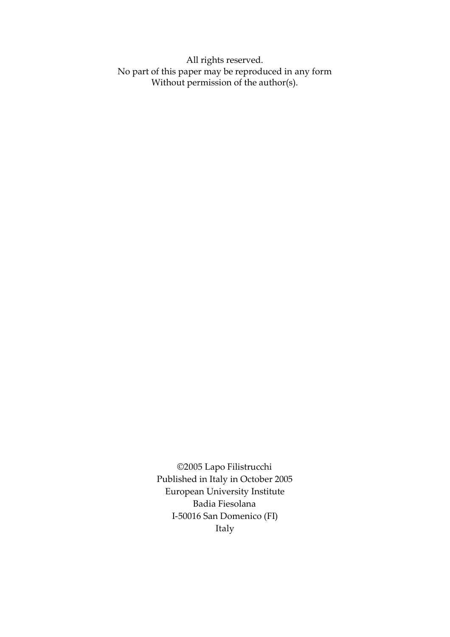All rights reserved. No part of this paper may be reproduced in any form Without permission of the author(s).

> ©2005 Lapo Filistrucchi Published in Italy in October 2005 European University Institute Badia Fiesolana I-50016 San Domenico (FI) Italy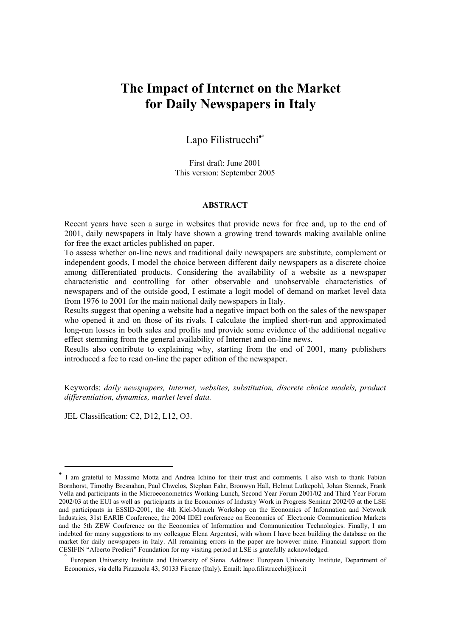# **The Impact of Internet on the Market for Daily Newspapers in Italy**

## Lapo Filistrucchi<sup>[•](#page-2-0)</sup>[°](#page-2-1)

First draft: June 2001 This version: September 2005

#### **ABSTRACT**

Recent years have seen a surge in websites that provide news for free and, up to the end of 2001, daily newspapers in Italy have shown a growing trend towards making available online for free the exact articles published on paper.

To assess whether on-line news and traditional daily newspapers are substitute, complement or independent goods, I model the choice between different daily newspapers as a discrete choice among differentiated products. Considering the availability of a website as a newspaper characteristic and controlling for other observable and unobservable characteristics of newspapers and of the outside good, I estimate a logit model of demand on market level data from 1976 to 2001 for the main national daily newspapers in Italy.

Results suggest that opening a website had a negative impact both on the sales of the newspaper who opened it and on those of its rivals. I calculate the implied short-run and approximated long-run losses in both sales and profits and provide some evidence of the additional negative effect stemming from the general availability of Internet and on-line news.

Results also contribute to explaining why, starting from the end of 2001, many publishers introduced a fee to read on-line the paper edition of the newspaper.

Keywords: *daily newspapers, Internet, websites, substitution, discrete choice models, product differentiation, dynamics, market level data.* 

JEL Classification: C2, D12, L12, O3.

<span id="page-2-0"></span><sup>•</sup> I am grateful to Massimo Motta and Andrea Ichino for their trust and comments. I also wish to thank Fabian Bornhorst, Timothy Bresnahan, Paul Chwelos, Stephan Fahr, Bronwyn Hall, Helmut Lutkepohl, Johan Stennek, Frank Vella and participants in the Microeconometrics Working Lunch, Second Year Forum 2001/02 and Third Year Forum 2002/03 at the EUI as well as participants in the Economics of Industry Work in Progress Seminar 2002/03 at the LSE and participants in ESSID-2001, the 4th Kiel-Munich Workshop on the Economics of Information and Network Industries, 31st EARIE Conference, the 2004 IDEI conference on Economics of Electronic Communication Markets and the 5th ZEW Conference on the Economics of Information and Communication Technologies. Finally, I am indebted for many suggestions to my colleague Elena Argentesi, with whom I have been building the database on the market for daily newspapers in Italy. All remaining errors in the paper are however mine. Financial support from CESIFIN "Alberto Predieri" Foundation for my visiting period at LSE is gratefully acknowledged.

<span id="page-2-1"></span><sup>°</sup> European University Institute and University of Siena. Address: European University Institute, Department of Economics, via della Piazzuola 43, 50133 Firenze (Italy). Email: lapo.filistrucchi@iue.it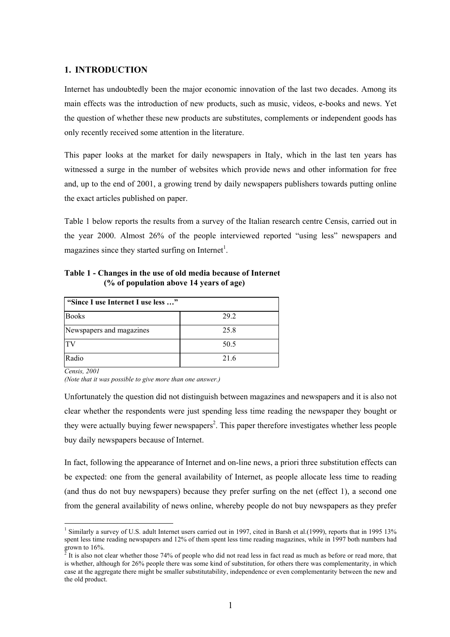#### **1. INTRODUCTION**

Internet has undoubtedly been the major economic innovation of the last two decades. Among its main effects was the introduction of new products, such as music, videos, e-books and news. Yet the question of whether these new products are substitutes, complements or independent goods has only recently received some attention in the literature.

This paper looks at the market for daily newspapers in Italy, which in the last ten years has witnessed a surge in the number of websites which provide news and other information for free and, up to the end of 2001, a growing trend by daily newspapers publishers towards putting online the exact articles published on paper.

Table 1 below reports the results from a survey of the Italian research centre Censis, carried out in the year 2000. Almost 26% of the people interviewed reported "using less" newspapers and magazines since they started surfing on Internet<sup>1</sup>.

**Table 1 - Changes in the use of old media because of Internet (% of population above 14 years of age)** 

| "Since I use Internet I use less " |      |  |  |
|------------------------------------|------|--|--|
| <b>Books</b>                       | 29.2 |  |  |
| Newspapers and magazines           | 25.8 |  |  |
| TV                                 | 50.5 |  |  |
| Radio                              | 21.6 |  |  |

*Censis, 2001* 

 $\overline{a}$ 

*(Note that it was possible to give more than one answer.)*

Unfortunately the question did not distinguish between magazines and newspapers and it is also not clear whether the respondents were just spending less time reading the newspaper they bought or they were actually buying fewer newspapers<sup>2</sup>. This paper therefore investigates whether less people buy daily newspapers because of Internet.

In fact, following the appearance of Internet and on-line news, a priori three substitution effects can be expected: one from the general availability of Internet, as people allocate less time to reading (and thus do not buy newspapers) because they prefer surfing on the net (effect 1), a second one from the general availability of news online, whereby people do not buy newspapers as they prefer

<span id="page-3-0"></span><sup>&</sup>lt;sup>1</sup> Similarly a survey of U.S. adult Internet users carried out in 1997, cited in Barsh et al.(1999), reports that in 1995 13% spent less time reading newspapers and 12% of them spent less time reading magazines, while in 1997 both numbers had

<span id="page-3-1"></span>grown to 16%.<br><sup>2</sup> It is also not clear whether those 74% of people who did not read less in fact read as much as before or read more, that is whether, although for 26% people there was some kind of substitution, for others there was complementarity, in which case at the aggregate there might be smaller substitutability, independence or even complementarity between the new and the old product.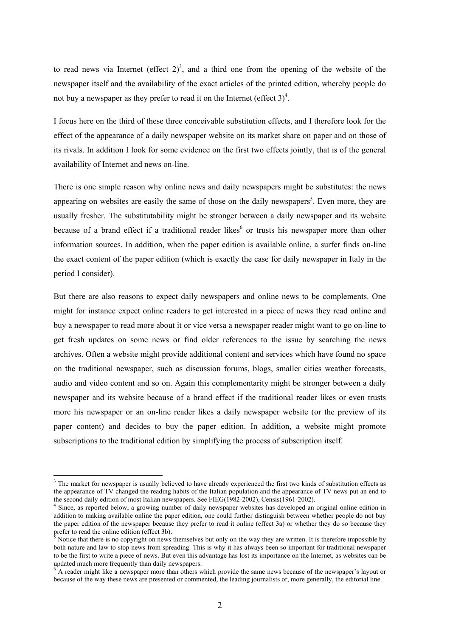to read news via Internet (effect  $2^3$ , and a third one from the opening of the website of the newspaper itself and the availability of the exact articles of the printed edition, whereby people do not buy a newspaper as they prefer to read it on the Internet (effect  $3)^4$  $3)^4$ .

I focus here on the third of these three conceivable substitution effects, and I therefore look for the effect of the appearance of a daily newspaper website on its market share on paper and on those of its rivals. In addition I look for some evidence on the first two effects jointly, that is of the general availability of Internet and news on-line.

There is one simple reason why online news and daily newspapers might be substitutes: the news appearing on websites are easily the same of those on the daily newspapers<sup>[5](#page-4-2)</sup>. Even more, they are usually fresher. The substitutability might be stronger between a daily newspaper and its website because of a brand effect if a traditional reader likes<sup>6</sup> or trusts his newspaper more than other information sources. In addition, when the paper edition is available online, a surfer finds on-line the exact content of the paper edition (which is exactly the case for daily newspaper in Italy in the period I consider).

But there are also reasons to expect daily newspapers and online news to be complements. One might for instance expect online readers to get interested in a piece of news they read online and buy a newspaper to read more about it or vice versa a newspaper reader might want to go on-line to get fresh updates on some news or find older references to the issue by searching the news archives. Often a website might provide additional content and services which have found no space on the traditional newspaper, such as discussion forums, blogs, smaller cities weather forecasts, audio and video content and so on. Again this complementarity might be stronger between a daily newspaper and its website because of a brand effect if the traditional reader likes or even trusts more his newspaper or an on-line reader likes a daily newspaper website (or the preview of its paper content) and decides to buy the paper edition. In addition, a website might promote subscriptions to the traditional edition by simplifying the process of subscription itself.

<span id="page-4-0"></span><sup>&</sup>lt;sup>3</sup> The market for newspaper is usually believed to have already experienced the first two kinds of substitution effects as the appearance of TV changed the reading habits of the Italian population and the appearance of TV news put an end to the second daily edition of most Italian newspapers. See FIEG(1982-2002), Censis(1961-2002).<br><sup>4</sup> Since, as reported below, a growing number of daily newspaper websites has developed an original online edition in

<span id="page-4-1"></span>addition to making available online the paper edition, one could further distinguish between whether people do not buy the paper edition of the newspaper because they prefer to read it online (effect 3a) or whether they do so because they prefer to read the online edition (effect 3b).

<span id="page-4-2"></span>Notice that there is no copyright on news themselves but only on the way they are written. It is therefore impossible by both nature and law to stop news from spreading. This is why it has always been so important for traditional newspaper to be the first to write a piece of news. But even this advantage has lost its importance on the Internet, as websites can be updated much more frequently than daily newspapers.

<span id="page-4-3"></span> $6$ <sup>-</sup>A reader might like a newspaper more than others which provide the same news because of the newspaper's layout or because of the way these news are presented or commented, the leading journalists or, more generally, the editorial line.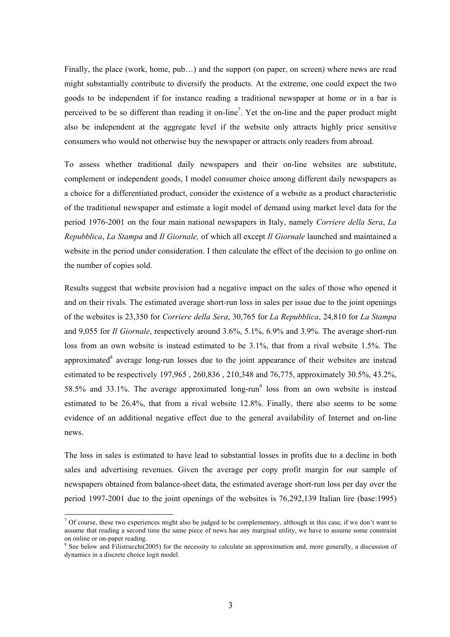Finally, the place (work, home, pub...) and the support (on paper, on screen) where news are read might substantially contribute to diversify the products. At the extreme, one could expect the two goods to be independent if for instance reading a traditional newspaper at home or in a bar is perceived to be so different than reading it on-line<sup>7</sup>. Yet the on-line and the paper product might also be independent at the aggregate level if the website only attracts highly price sensitive consumers who would not otherwise buy the newspaper or attracts only readers from abroad.

To assess whether traditional daily newspapers and their on-line websites are substitute, complement or independent goods, I model consumer choice among different daily newspapers as a choice for a differentiated product, consider the existence of a website as a product characteristic of the traditional newspaper and estimate a logit model of demand using market level data for the period 1976-2001 on the four main national newspapers in Italy, namely *Corriere della Sera*, *La Repubblica*, *La Stampa* and *Il Giornale,* of which all except *Il Giornale* launched and maintained a website in the period under consideration. I then calculate the effect of the decision to go online on the number of copies sold.

Results suggest that website provision had a negative impact on the sales of those who opened it and on their rivals. The estimated average short-run loss in sales per issue due to the joint openings of the websites is 23,350 for *Corriere della Sera*, 30,765 for *La Repubblica*, 24,810 for *La Stampa*  and 9,055 for *Il Giornale*, respectively around 3.6%, 5.1%, 6.9% and 3.9%. The average short-run loss from an own website is instead estimated to be 3.1%, that from a rival website 1.5%. The approximated<sup>[8](#page-5-1)</sup> average long-run losses due to the joint appearance of their websites are instead estimated to be respectively 197,965 , 260,836 , 210,348 and 76,775, approximately 30.5%, 43.2%, 58.5% and 33.1%. The average approximated long-run<sup>9</sup> loss from an own website is instead estimated to be 26.4%, that from a rival website 12.8%. Finally, there also seems to be some evidence of an additional negative effect due to the general availability of Internet and on-line news.

<span id="page-5-2"></span>The loss in sales is estimated to have lead to substantial losses in profits due to a decline in both sales and advertising revenues. Given the average per copy profit margin for our sample of newspapers obtained from balance-sheet data, the estimated average short-run loss per day over the period 1997-2001 due to the joint openings of the websites is 76,292,139 Italian lire (base:1995)

<span id="page-5-0"></span> $<sup>7</sup>$  Of course, these two experiences might also be judged to be complementary, although in this case, if we don't want to</sup> assume that reading a second time the same piece of news has any marginal utility, we have to assume some constraint on online or on-paper reading.

<span id="page-5-1"></span><sup>&</sup>lt;sup>8</sup> See below and Filistrucchi(2005) for the necessity to calculate an approximation and, more generally, a discussion of dynamics in a discrete choice logit model.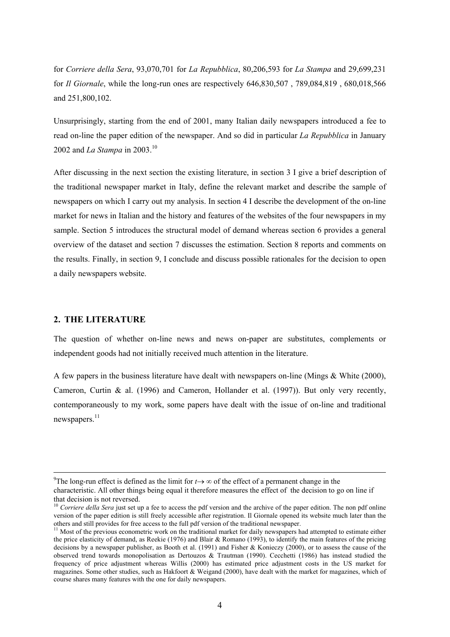for *Corriere della Sera*, 93,070,701 for *La Repubblica*, 80,206,593 for *La Stampa* and 29,699,231 for *Il Giornale*, while the long-run ones are respectively 646,830,507 , 789,084,819 , 680,018,566 and 251,800,102.

Unsurprisingly, starting from the end of 2001, many Italian daily newspapers introduced a fee to read on-line the paper edition of the newspaper. And so did in particular *La Repubblica* in January 2002 and *La Stampa* in 2003.<sup>[10](#page-6-0)</sup>

After discussing in the next section the existing literature, in section 3 I give a brief description of the traditional newspaper market in Italy, define the relevant market and describe the sample of newspapers on which I carry out my analysis. In section 4 I describe the development of the on-line market for news in Italian and the history and features of the websites of the four newspapers in my sample. Section 5 introduces the structural model of demand whereas section 6 provides a general overview of the dataset and section 7 discusses the estimation. Section 8 reports and comments on the results. Finally, in section 9, I conclude and discuss possible rationales for the decision to open a daily newspapers website.

### **2. THE LITERATURE**

The question of whether on-line news and news on-paper are substitutes, complements or independent goods had not initially received much attention in the literature.

A few papers in the business literature have dealt with newspapers on-line (Mings & White (2000), Cameron, Curtin & al. (1996) and Cameron, Hollander et al. (1997)). But only very recently, contemporaneously to my work, some papers have dealt with the issue of on-line and traditional newspapers.<sup>11</sup>

<sup>.&</sup>lt;br>9 <sup>9</sup>The long-run effect is defined as the limit for  $t \rightarrow \infty$  of the effect of a permanent change in the

characteristic. All other things being equal it therefore measures the effect of the decision to go on line if that decision is not reversed.<br><sup>10</sup> *Corriere della Sera* just set up a fee to access the pdf version and the archive of the paper edition. The non pdf online

<span id="page-6-0"></span>version of the paper edition is still freely accessible after registration. Il Giornale opened its website much later than the

<span id="page-6-1"></span> $11$  Most of the previous econometric work on the traditional market for daily newspapers had attempted to estimate either the price elasticity of demand, as Reekie (1976) and Blair & Romano (1993), to identify the main features of the pricing decisions by a newspaper publisher, as Booth et al. (1991) and Fisher & Konieczy (2000), or to assess the cause of the observed trend towards monopolisation as Dertouzos & Trautman (1990). Cecchetti (1986) has instead studied the frequency of price adjustment whereas Willis (2000) has estimated price adjustment costs in the US market for magazines. Some other studies, such as Hakfoort & Weigand (2000), have dealt with the market for magazines, which of course shares many features with the one for daily newspapers.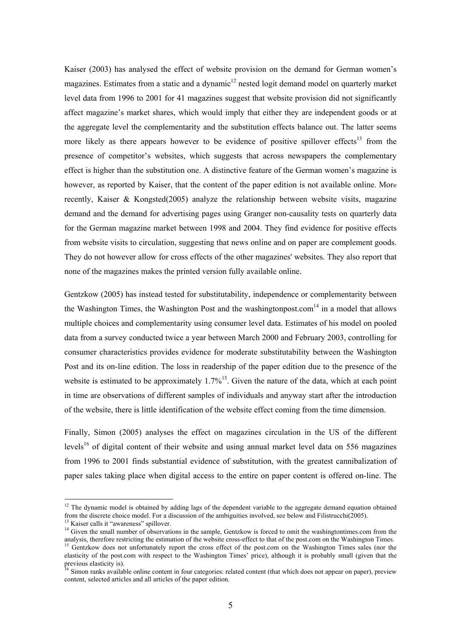Kaiser (2003) has analysed the effect of website provision on the demand for German women's magazines. Estimates from a static and a dynamic<sup>12</sup> nested logit demand model on quarterly market level data from 1996 to 2001 for 41 magazines suggest that website provision did not significantly affect magazine's market shares, which would imply that either they are independent goods or at the aggregate level the complementarity and the substitution effects balance out. The latter seems more likely as there appears however to be evidence of positive spillover effects<sup>13</sup> from the presence of competitor's websites, which suggests that across newspapers the complementary effect is higher than the substitution one. A distinctive feature of the German women's magazine is however, as reported by Kaiser, that the content of the paper edition is not available online. More recently, Kaiser & Kongsted(2005) analyze the relationship between website visits, magazine demand and the demand for advertising pages using Granger non-causality tests on quarterly data for the German magazine market between 1998 and 2004. They find evidence for positive effects from website visits to circulation, suggesting that news online and on paper are complement goods. They do not however allow for cross effects of the other magazines' websites. They also report that none of the magazines makes the printed version fully available online.

Gentzkow (2005) has instead tested for substitutability, independence or complementarity between the Washington Times, the Washington Post and the washingtonpost.com<sup>14</sup> in a model that allows multiple choices and complementarity using consumer level data. Estimates of his model on pooled data from a survey conducted twice a year between March 2000 and February 2003, controlling for consumer characteristics provides evidence for moderate substitutability between the Washington Post and its on-line edition. The loss in readership of the paper edition due to the presence of the website is estimated to be approximately 1.7%<sup>15</sup>. Given the nature of the data, which at each point in time are observations of different samples of individuals and anyway start after the introduction of the website, there is little identification of the website effect coming from the time dimension.

Finally, Simon (2005) analyses the effect on magazines circulation in the US of the different levels<sup>16</sup> of digital content of their website and using annual market level data on 556 magazines from 1996 to 2001 finds substantial evidence of substitution, with the greatest cannibalization of paper sales taking place when digital access to the entire on paper content is offered on-line. The

<span id="page-7-0"></span> $12$  The dynamic model is obtained by adding lags of the dependent variable to the aggregate demand equation obtained from the discrete choice model. For a discussion of the ambiguities involved, see below and Filistrucchi(2005).<br><sup>13</sup> Kaiser calls it "awareness" spillover.<br><sup>14</sup> Given the small number of observations in the sample. Gentzk

<span id="page-7-1"></span>

<span id="page-7-2"></span>analysis, therefore restricting the estimation of the website cross-effect to that of the post.com on the Washington Times.<br><sup>15</sup> Gentzkow does not unfortunately report the cross effect of the post.com on the Washington Tim

<span id="page-7-3"></span>elasticity of the post.com with respect to the Washington Times' price), although it is probably small (given that the previous elasticity is).<br><sup>16</sup> Simon ranks available online content in four categories: related content (that which does not appear on paper), preview

<span id="page-7-4"></span>content, selected articles and all articles of the paper edition.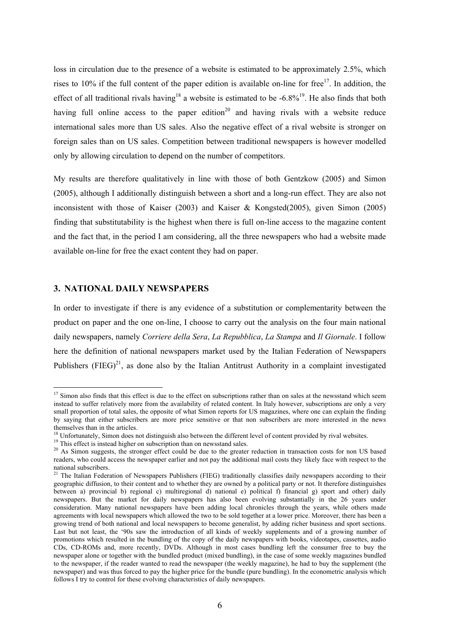loss in circulation due to the presence of a website is estimated to be approximately 2.5%, which rises to 10% if the full content of the paper edition is available on-line for free<sup>17</sup>. In addition, the effect of all traditional rivals having<sup>18</sup> a website is estimated to be  $-6.8\%$ <sup>19</sup>. He also finds that both having full online access to the paper edition<sup>20</sup> and having rivals with a website reduce international sales more than US sales. Also the negative effect of a rival website is stronger on foreign sales than on US sales. Competition between traditional newspapers is however modelled only by allowing circulation to depend on the number of competitors.

My results are therefore qualitatively in line with those of both Gentzkow (2005) and Simon (2005), although I additionally distinguish between a short and a long-run effect. They are also not inconsistent with those of Kaiser (2003) and Kaiser & Kongsted(2005), given Simon (2005) finding that substitutability is the highest when there is full on-line access to the magazine content and the fact that, in the period I am considering, all the three newspapers who had a website made available on-line for free the exact content they had on paper.

#### **3. NATIONAL DAILY NEWSPAPERS**

 $\overline{a}$ 

In order to investigate if there is any evidence of a substitution or complementarity between the product on paper and the one on-line, I choose to carry out the analysis on the four main national daily newspapers, namely *Corriere della Sera*, *La Repubblica*, *La Stampa* and *Il Giornale*. I follow here the definition of national newspapers market used by the Italian Federation of Newspapers Publishers (FIEG) $^{21}$ , as done also by the Italian Antitrust Authority in a complaint investigated

<span id="page-8-0"></span> $17$  Simon also finds that this effect is due to the effect on subscriptions rather than on sales at the newsstand which seem instead to suffer relatively more from the availability of related content. In Italy however, subscriptions are only a very small proportion of total sales, the opposite of what Simon reports for US magazines, where one can explain the finding by saying that either subscribers are more price sensitive or that non subscribers are more interested in the news

<span id="page-8-1"></span><sup>&</sup>lt;sup>18</sup> Unfortunately, Simon does not distinguish also between the different level of content provided by rival websites.<br><sup>19</sup> This effect is instead higher on subscription than on newsstand sales.<br><sup>20</sup> As Simon suggests, th

<span id="page-8-2"></span>

<span id="page-8-3"></span>readers, who could access the newspaper earlier and not pay the additional mail costs they likely face with respect to the national subscribers.

<span id="page-8-4"></span><sup>&</sup>lt;sup>21</sup> The Italian Federation of Newspapers Publishers (FIEG) traditionally classifies daily newspapers according to their geographic diffusion, to their content and to whether they are owned by a political party or not. It therefore distinguishes between a) provincial b) regional c) multiregional d) national e) political f) financial g) sport and other) daily newspapers. But the market for daily newspapers has also been evolving substantially in the 26 years under consideration. Many national newspapers have been adding local chronicles through the years, while others made agreements with local newspapers which allowed the two to be sold together at a lower price. Moreover, there has been a growing trend of both national and local newspapers to become generalist, by adding richer business and sport sections. Last but not least, the '90s saw the introduction of all kinds of weekly supplements and of a growing number of promotions which resulted in the bundling of the copy of the daily newspapers with books, videotapes, cassettes, audio CDs, CD-ROMs and, more recently, DVDs. Although in most cases bundling left the consumer free to buy the newspaper alone or together with the bundled product (mixed bundling), in the case of some weekly magazines bundled to the newspaper, if the reader wanted to read the newspaper (the weekly magazine), he had to buy the supplement (the newspaper) and was thus forced to pay the higher price for the bundle (pure bundling). In the econometric analysis which follows I try to control for these evolving characteristics of daily newspapers.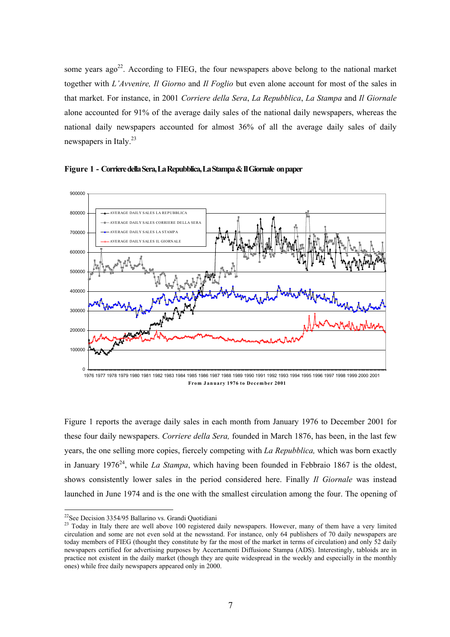some years ago<sup>22</sup>. According to FIEG, the four newspapers above belong to the national market together with *L'Avvenire, Il Giorno* and *Il Foglio* but even alone account for most of the sales in that market. For instance, in 2001 *Corriere della Sera*, *La Repubblica*, *La Stampa* and *Il Giornale* alone accounted for 91% of the average daily sales of the national daily newspapers, whereas the national daily newspapers accounted for almost 36% of all the average daily sales of daily newspapers in Italy.<sup>23</sup>





Figure 1 reports the average daily sales in each month from January 1976 to December 2001 for these four daily newspapers. *Corriere della Sera,* founded in March 1876, has been, in the last few years, the one selling more copies, fiercely competing with *La Repubblica,* which was born exactly in January 1976<sup>24</sup>, while *La Stampa*, which having been founded in Febbraio 1867 is the oldest, shows consistently lower sales in the period considered here. Finally *Il Giornale* was instead launched in June 1974 and is the one with the smallest circulation among the four. The opening of

<span id="page-9-2"></span><span id="page-9-0"></span> $22$ See Decision 3354/95 Ballarino vs. Grandi Quotidiani

<span id="page-9-1"></span><sup>&</sup>lt;sup>23</sup> Today in Italy there are well above 100 registered daily newspapers. However, many of them have a very limited circulation and some are not even sold at the newsstand. For instance, only 64 publishers of 70 daily newspapers are today members of FIEG (thought they constitute by far the most of the market in terms of circulation) and only 52 daily newspapers certified for advertising purposes by Accertamenti Diffusione Stampa (ADS). Interestingly, tabloids are in practice not existent in the daily market (though they are quite widespread in the weekly and especially in the monthly ones) while free daily newspapers appeared only in 2000.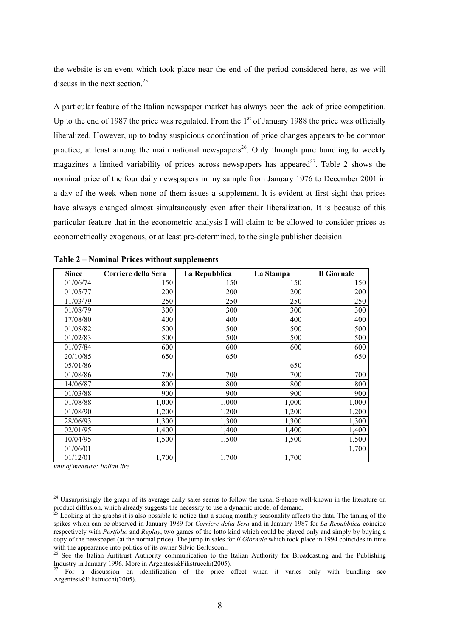the website is an event which took place near the end of the period considered here, as we will discuss in the next section.<sup>[25](#page-10-0)</sup>

A particular feature of the Italian newspaper market has always been the lack of price competition. Up to the end of 1987 the price was regulated. From the  $1<sup>st</sup>$  of January 1988 the price was officially liberalized. However, up to today suspicious coordination of price changes appears to be common practice, at least among the main national newspapers<sup>26</sup>. Only through pure bundling to weekly magazines a limited variability of prices across newspapers has appeared<sup>27</sup>. Table 2 shows the nominal price of the four daily newspapers in my sample from January 1976 to December 2001 in a day of the week when none of them issues a supplement. It is evident at first sight that prices have always changed almost simultaneously even after their liberalization. It is because of this particular feature that in the econometric analysis I will claim to be allowed to consider prices as econometrically exogenous, or at least pre-determined, to the single publisher decision.

| <b>Since</b> | Corriere della Sera | La Repubblica | La Stampa | Il Giornale |
|--------------|---------------------|---------------|-----------|-------------|
| 01/06/74     | 150                 | 150           | 150       | 150         |
| 01/05/77     | 200                 | 200           | 200       | 200         |
| 11/03/79     | 250                 | 250           | 250       | 250         |
| 01/08/79     | 300                 | 300           | 300       | 300         |
| 17/08/80     | 400                 | 400           | 400       | 400         |
| 01/08/82     | 500                 | 500           | 500       | 500         |
| 01/02/83     | 500                 | 500           | 500       | 500         |
| 01/07/84     | 600                 | 600           | 600       | 600         |
| 20/10/85     | 650                 | 650           |           | 650         |
| 05/01/86     |                     |               | 650       |             |
| 01/08/86     | 700                 | 700           | 700       | 700         |
| 14/06/87     | 800                 | 800           | 800       | 800         |
| 01/03/88     | 900                 | 900           | 900       | 900         |
| 01/08/88     | 1,000               | 1,000         | 1,000     | 1,000       |
| 01/08/90     | 1,200               | 1,200         | 1,200     | 1,200       |
| 28/06/93     | 1,300               | 1,300         | 1,300     | 1,300       |
| 02/01/95     | 1,400               | 1,400         | 1,400     | 1,400       |
| 10/04/95     | 1,500               | 1,500         | 1,500     | 1,500       |
| 01/06/01     |                     |               |           | 1,700       |
| 01/12/01     | 1,700               | 1,700         | 1,700     |             |

*unit of measure: Italian lire* 

<sup>&</sup>lt;sup>24</sup> Unsurprisingly the graph of its average daily sales seems to follow the usual S-shape well-known in the literature on product diffusion, which already suggests the necessity to use a dynamic model of demand.<br><sup>25</sup> Looking at the graphs it is also possible to notice that a strong monthly seasonality affects the data. The timing of the

<span id="page-10-0"></span>spikes which can be observed in January 1989 for *Corriere della Sera* and in January 1987 for *La Repubblica* coincide respectively with *Portfolio* and *Replay*, two games of the lotto kind which could be played only and simply by buying a copy of the newspaper (at the normal price). The jump in sales for *Il Giornale* which took place in 1994 coincides in time with the appearance into politics of its owner Silvio Berlusconi.

<span id="page-10-1"></span><sup>&</sup>lt;sup>26</sup> See the Italian Antitrust Authority communication to the Italian Authority for Broadcasting and the Publishing Industry in January 1996. More in Argentesi&Filistrucchi(2005).

<span id="page-10-2"></span> $27$  For a discussion on identification of the price effect when it varies only with bundling see Argentesi&Filistrucchi(2005).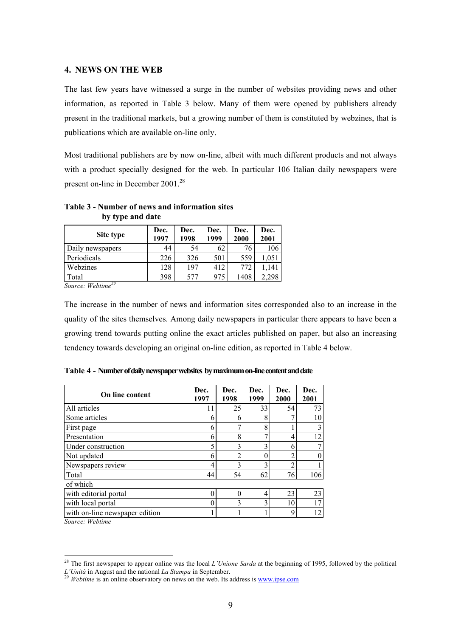#### **4. NEWS ON THE WEB**

The last few years have witnessed a surge in the number of websites providing news and other information, as reported in Table 3 below. Many of them were opened by publishers already present in the traditional markets, but a growing number of them is constituted by webzines, that is publications which are available on-line only.

Most traditional publishers are by now on-line, albeit with much different products and not always with a product specially designed for the web. In particular 106 Italian daily newspapers were present on-line in December 2001.<sup>[28](#page-11-0)</sup>

| Site type                         | Dec.<br>1997 | Dec.<br>1998 | Dec.<br>1999 | Dec.<br>2000 | Dec.<br>2001 |  |
|-----------------------------------|--------------|--------------|--------------|--------------|--------------|--|
| Daily newspapers                  | 44           | 54           | 62           | 76           | 106          |  |
| Periodicals                       | 226          | 326          | 501          | 559          | .051         |  |
| Webzines                          | 128          | 197          | 412          | 772          | .141         |  |
| Total<br>$\overline{\phantom{a}}$ | 398          | 577          | 975          | 1408         |              |  |

**Table 3 - Number of news and information sites by type and date** 

*Source: Webtim[e29](#page-11-1)*

The increase in the number of news and information sites corresponded also to an increase in the quality of the sites themselves. Among daily newspapers in particular there appears to have been a growing trend towards putting online the exact articles published on paper, but also an increasing tendency towards developing an original on-line edition, as reported in Table 4 below.

| <b>On line content</b>         | Dec.<br>1997 | Dec.<br>1998   | Dec.<br>1999   | Dec.<br>2000 | Dec.<br>2001 |
|--------------------------------|--------------|----------------|----------------|--------------|--------------|
| All articles                   | 11           | 25             | 33             | 54           | 73           |
| Some articles                  | 6            | 6              | 8              |              | 10           |
| First page                     | 6            | 7              | 8              |              |              |
| Presentation                   | 6            | 8              | 7              | 4            | 12           |
| Under construction             | 5            | 3              | 3              | 6            |              |
| Not updated                    | 6            | $\overline{2}$ | $\overline{0}$ | ጎ            |              |
| Newspapers review              | 4            | 3              | 3              | າ            |              |
| Total                          | 44           | 54             | 62             | 76           | 106          |
| of which                       |              |                |                |              |              |
| with editorial portal          | €            | $\Omega$       | 4              | 23           | 23           |
| with local portal              | 0            | 3              | 3              | 10           | 17           |
| with on-line newspaper edition |              |                |                | 9            | 12           |

**Table 4 - Number of daily newspaper websites by maximum on-line content and date** 

*Source: Webtime* 

<span id="page-11-0"></span><sup>28</sup> The first newspaper to appear online was the local *L'Unione Sarda* at the beginning of 1995, followed by the political

<span id="page-11-1"></span>*L'Unità* in August and the national *La Stampa* in September.<br><sup>29</sup> *Webtime* is an online observatory on news on the web. Its address is <u>www.ipse.com</u>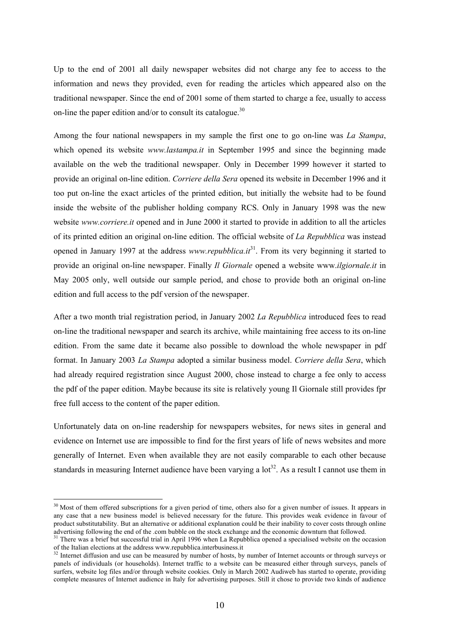Up to the end of 2001 all daily newspaper websites did not charge any fee to access to the information and news they provided, even for reading the articles which appeared also on the traditional newspaper. Since the end of 2001 some of them started to charge a fee, usually to access on-line the paper edition and/or to consult its catalogue.<sup>[30](#page-12-0)</sup>

Among the four national newspapers in my sample the first one to go on-line was *La Stampa*, which opened its website *www.lastampa.it* in September 1995 and since the beginning made available on the web the traditional newspaper. Only in December 1999 however it started to provide an original on-line edition. *Corriere della Sera* opened its website in December 1996 and it too put on-line the exact articles of the printed edition, but initially the website had to be found inside the website of the publisher holding company RCS. Only in January 1998 was the new website *www.corriere.it* opened and in June 2000 it started to provide in addition to all the articles of its printed edition an original on-line edition. The official website of *La Repubblica* was instead opened in January 1997 at the address *www.repubblica.it*<sup>31</sup>. From its very beginning it started to provide an original on-line newspaper. Finally *Il Giornale* opened a website www.*ilgiornale.it* in May 2005 only, well outside our sample period, and chose to provide both an original on-line edition and full access to the pdf version of the newspaper.

After a two month trial registration period, in January 2002 *La Repubblica* introduced fees to read on-line the traditional newspaper and search its archive, while maintaining free access to its on-line edition. From the same date it became also possible to download the whole newspaper in pdf format. In January 2003 *La Stampa* adopted a similar business model. *Corriere della Sera*, which had already required registration since August 2000, chose instead to charge a fee only to access the pdf of the paper edition. Maybe because its site is relatively young Il Giornale still provides fpr free full access to the content of the paper edition.

Unfortunately data on on-line readership for newspapers websites, for news sites in general and evidence on Internet use are impossible to find for the first years of life of news websites and more generally of Internet. Even when available they are not easily comparable to each other because standards in measuring Internet audience have been varying a  $10t^{32}$ . As a result I cannot use them in

<span id="page-12-0"></span> $30$  Most of them offered subscriptions for a given period of time, others also for a given number of issues. It appears in any case that a new business model is believed necessary for the future. This provides weak evidence in favour of product substitutability. But an alternative or additional explanation could be their inability to cover costs through online

<span id="page-12-1"></span>advertising following the end of the .com bubble on the stock exchange and the economic downturn that followed.<br><sup>31</sup> There was a brief but successful trial in April 1996 when La Repubblica opened a specialised website on t

<span id="page-12-2"></span> $32$  Internet diffusion and use can be measured by number of hosts, by number of Internet accounts or through surveys or panels of individuals (or households). Internet traffic to a website can be measured either through surveys, panels of surfers, website log files and/or through website cookies. Only in March 2002 Audiweb has started to operate, providing complete measures of Internet audience in Italy for advertising purposes. Still it chose to provide two kinds of audience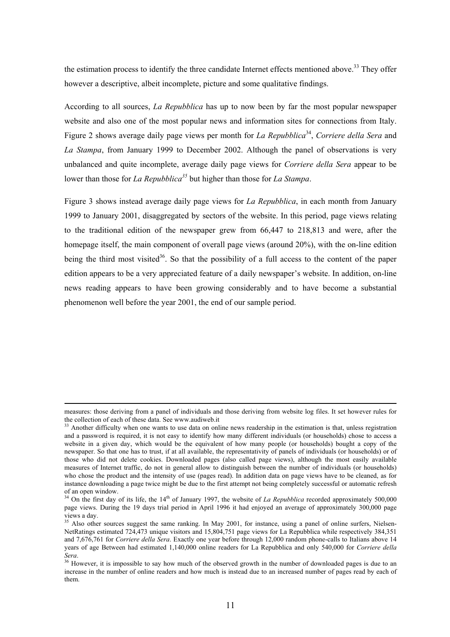the estimation process to identify the three candidate Internet effects mentioned above.<sup>33</sup> They offer however a descriptive, albeit incomplete, picture and some qualitative findings.

According to all sources, *La Repubblica* has up to now been by far the most popular newspaper website and also one of the most popular news and information sites for connections from Italy. Figure 2 shows average daily page views per month for *La Repubblica*<sup>34</sup>, *Corriere della Sera* and *La Stampa*, from January 1999 to December 2002. Although the panel of observations is very unbalanced and quite incomplete, average daily page views for *Corriere della Sera* appear to be lower than those for *La Repubblica[35](#page-13-2)* but higher than those for *La Stampa*.

Figure 3 shows instead average daily page views for *La Repubblica*, in each month from January 1999 to January 2001, disaggregated by sectors of the website. In this period, page views relating to the traditional edition of the newspaper grew from 66,447 to 218,813 and were, after the homepage itself, the main component of overall page views (around 20%), with the on-line edition being the third most visited<sup>36</sup>. So that the possibility of a full access to the content of the paper edition appears to be a very appreciated feature of a daily newspaper's website. In addition, on-line news reading appears to have been growing considerably and to have become a substantial phenomenon well before the year 2001, the end of our sample period.

measures: those deriving from a panel of individuals and those deriving from website log files. It set however rules for the collection of each of these data. See www.audiweb.it

<span id="page-13-0"></span> $33$  Another difficulty when one wants to use data on online news readership in the estimation is that, unless registration and a password is required, it is not easy to identify how many different individuals (or households) chose to access a website in a given day, which would be the equivalent of how many people (or households) bought a copy of the newspaper. So that one has to trust, if at all available, the representativity of panels of individuals (or households) or of those who did not delete cookies. Downloaded pages (also called page views), although the most easily available measures of Internet traffic, do not in general allow to distinguish between the number of individuals (or households) who chose the product and the intensity of use (pages read). In addition data on page views have to be cleaned, as for instance downloading a page twice might be due to the first attempt not being completely successful or automatic refresh of an open window.

<span id="page-13-1"></span> $34$  On the first day of its life, the 14<sup>th</sup> of January 1997, the website of *La Repubblica* recorded approximately 500,000 page views. During the 19 days trial period in April 1996 it had enjoyed an average of approximately 300,000 page views a day.<br><sup>35</sup> Also other sources suggest the same ranking. In May 2001, for instance, using a panel of online surfers, Nielsen-

<span id="page-13-2"></span>NetRatings estimated 724,473 unique visitors and 15,804,751 page views for La Repubblica while respectively 384,351 and 7,676,761 for *Corriere della Sera*. Exactly one year before through 12,000 random phone-calls to Italians above 14 years of age Between had estimated 1,140,000 online readers for La Repubblica and only 540,000 for *Corriere della* 

<span id="page-13-3"></span>*Sera.*<br><sup>36</sup> However, it is impossible to say how much of the observed growth in the number of downloaded pages is due to an increase in the number of online readers and how much is instead due to an increased number of pages read by each of them.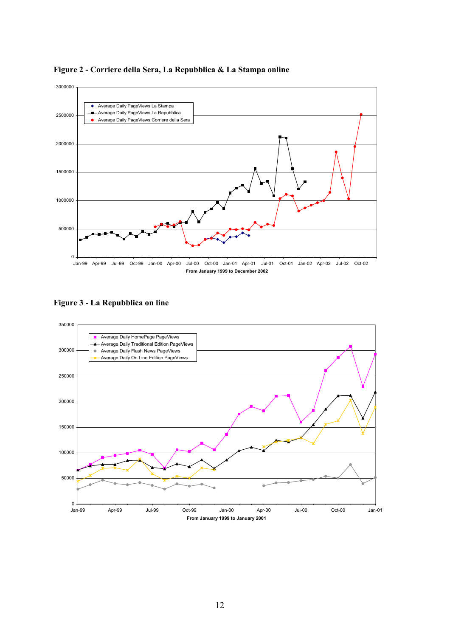

**Figure 2 - Corriere della Sera, La Repubblica & La Stampa online** 

**Figure 3 - La Repubblica on line** 

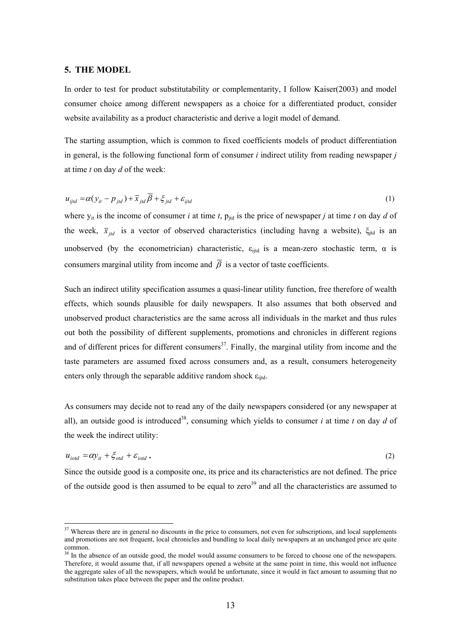#### **5. THE MODEL**

<span id="page-15-2"></span> $\overline{a}$ 

In order to test for product substitutability or complementarity, I follow Kaiser(2003) and model consumer choice among different newspapers as a choice for a differentiated product, consider website availability as a product characteristic and derive a logit model of demand.

The starting assumption, which is common to fixed coefficients models of product differentiation in general, is the following functional form of consumer *i* indirect utility from reading newspaper *j*  at time *t* on day *d* of the week:

$$
u_{ijtd} = \alpha (y_{it} - p_{jd}) + \overline{x}_{jd} \overline{\beta} + \xi_{jd} + \varepsilon_{ijtd}
$$
 (1)

where  $y_{it}$  is the income of consumer *i* at time *t*,  $p_{itd}$  is the price of newspaper *j* at time *t* on day *d* of the week,  $\bar{x}_{id}$  is a vector of observed characteristics (including havng a website),  $\xi_{id}$  is an unobserved (by the econometrician) characteristic,  $\varepsilon_{\text{i}t\text{d}}$  is a mean-zero stochastic term,  $\alpha$  is consumers marginal utility from income and  $\overline{\beta}$  is a vector of taste coefficients.

Such an indirect utility specification assumes a quasi-linear utility function, free therefore of wealth effects, which sounds plausible for daily newspapers. It also assumes that both observed and unobserved product characteristics are the same across all individuals in the market and thus rules out both the possibility of different supplements, promotions and chronicles in different regions and of different prices for different consumers<sup>37</sup>. Finally, the marginal utility from income and the taste parameters are assumed fixed across consumers and, as a result, consumers heterogeneity enters only through the separable additive random shock  $\varepsilon_{\text{iird}}$ .

As consumers may decide not to read any of the daily newspapers considered (or any newspaper at all), an outside good is introduced<sup>38</sup>, consuming which yields to consumer *i* at time *t* on day *d* of the week the indirect utility:

$$
u_{i\text{odd}} = \alpha y_{it} + \xi_{\text{odd}} + \varepsilon_{i\text{odd}}\,. \tag{2}
$$

Since the outside good is a composite one, its price and its characteristics are not defined. The price of the outside good is then assumed to be equal to zero<sup>39</sup> and all the characteristics are assumed to

<span id="page-15-0"></span><sup>&</sup>lt;sup>37</sup> Whereas there are in general no discounts in the price to consumers, not even for subscriptions, and local supplements and promotions are not frequent, local chronicles and bundling to local daily newspapers at an unchanged price are quite common.

<span id="page-15-1"></span><sup>&</sup>lt;sup>38</sup> In the absence of an outside good, the model would assume consumers to be forced to choose one of the newspapers. Therefore, it would assume that, if all newspapers opened a website at the same point in time, this would not influence the aggregate sales of all the newspapers, which would be unfortunate, since it would in fact amount to assuming that no substitution takes place between the paper and the online product.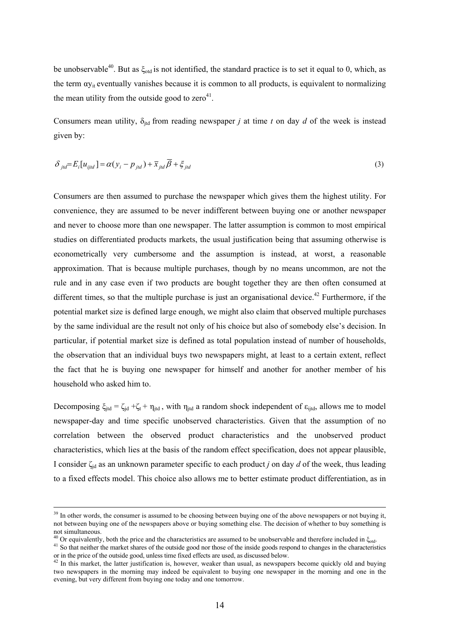be unobservable<sup>40</sup>. But as  $\xi_{\text{odd}}$  is not identified, the standard practice is to set it equal to 0, which, as the term  $\alpha y_{it}$  eventually vanishes because it is common to all products, is equivalent to normalizing the mean utility from the outside good to  $zero<sup>41</sup>$ .

Consumers mean utility,  $\delta_{\text{jtd}}$  from reading newspaper *j* at time *t* on day *d* of the week is instead given by:

$$
\delta_{jtd} = E_i[u_{ijtd}] = \alpha(y_i - p_{jd}) + \overline{x}_{jd}\overline{\beta} + \xi_{jtd}
$$
\n(3)

Consumers are then assumed to purchase the newspaper which gives them the highest utility. For convenience, they are assumed to be never indifferent between buying one or another newspaper and never to choose more than one newspaper. The latter assumption is common to most empirical studies on differentiated products markets, the usual justification being that assuming otherwise is econometrically very cumbersome and the assumption is instead, at worst, a reasonable approximation. That is because multiple purchases, though by no means uncommon, are not the rule and in any case even if two products are bought together they are then often consumed at different times, so that the multiple purchase is just an organisational device.<sup>42</sup> Furthermore, if the potential market size is defined large enough, we might also claim that observed multiple purchases by the same individual are the result not only of his choice but also of somebody else's decision. In particular, if potential market size is defined as total population instead of number of households, the observation that an individual buys two newspapers might, at least to a certain extent, reflect the fact that he is buying one newspaper for himself and another for another member of his household who asked him to.

Decomposing  $\xi_{\text{it}} = \zeta_{\text{id}} + \zeta_t + \eta_{\text{itd}}$ , with  $\eta_{\text{itd}}$  a random shock independent of  $\varepsilon_{\text{i}}$  allows me to model newspaper-day and time specific unobserved characteristics. Given that the assumption of no correlation between the observed product characteristics and the unobserved product characteristics, which lies at the basis of the random effect specification, does not appear plausible, I consider ζjd as an unknown parameter specific to each product *j* on day *d* of the week, thus leading to a fixed effects model. This choice also allows me to better estimate product differentiation, as in

<sup>&</sup>lt;sup>39</sup> In other words, the consumer is assumed to be choosing between buying one of the above newspapers or not buying it, not between buying one of the newspapers above or buying something else. The decision of whether to buy something is not simultaneous.<br> $40$  Or equivalently, both the price and the characteristics are assumed to be unobservable and therefore included in  $\xi_{\text{odd}}$ .

<span id="page-16-0"></span>

<span id="page-16-1"></span><sup>&</sup>lt;sup>41</sup> So that neither the market shares of the outside good nor those of the inside goods respond to changes in the characteristics or in the price of the outside good, unless time fixed effects are used, as discussed below.<br><sup>42</sup> In this market, the latter justification is, however, weaker than usual, as newspapers become quickly old and buying

<span id="page-16-2"></span>two newspapers in the morning may indeed be equivalent to buying one newspaper in the morning and one in the evening, but very different from buying one today and one tomorrow.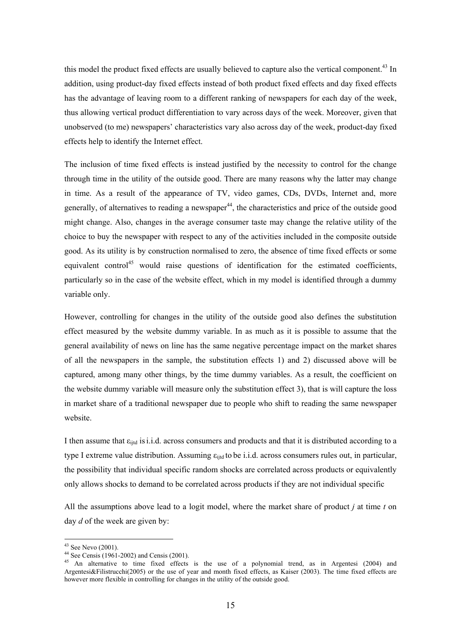this model the product fixed effects are usually believed to capture also the vertical component.<sup>43</sup> In addition, using product-day fixed effects instead of both product fixed effects and day fixed effects has the advantage of leaving room to a different ranking of newspapers for each day of the week, thus allowing vertical product differentiation to vary across days of the week. Moreover, given that unobserved (to me) newspapers' characteristics vary also across day of the week, product-day fixed effects help to identify the Internet effect.

The inclusion of time fixed effects is instead justified by the necessity to control for the change through time in the utility of the outside good. There are many reasons why the latter may change in time. As a result of the appearance of TV, video games, CDs, DVDs, Internet and, more generally, of alternatives to reading a newspaper<sup>44</sup>, the characteristics and price of the outside good might change. Also, changes in the average consumer taste may change the relative utility of the choice to buy the newspaper with respect to any of the activities included in the composite outside good. As its utility is by construction normalised to zero, the absence of time fixed effects or some equivalent control<sup>[45](#page-17-2)</sup> would raise questions of identification for the estimated coefficients, particularly so in the case of the website effect, which in my model is identified through a dummy variable only.

However, controlling for changes in the utility of the outside good also defines the substitution effect measured by the website dummy variable. In as much as it is possible to assume that the general availability of news on line has the same negative percentage impact on the market shares of all the newspapers in the sample, the substitution effects 1) and 2) discussed above will be captured, among many other things, by the time dummy variables. As a result, the coefficient on the website dummy variable will measure only the substitution effect 3), that is will capture the loss in market share of a traditional newspaper due to people who shift to reading the same newspaper website.

I then assume that  $\varepsilon_{ijtd}$  is i.i.d. across consumers and products and that it is distributed according to a type I extreme value distribution. Assuming  $\varepsilon_{\text{i}t\text{d}}$  to be i.i.d. across consumers rules out, in particular, the possibility that individual specific random shocks are correlated across products or equivalently only allows shocks to demand to be correlated across products if they are not individual specific

All the assumptions above lead to a logit model, where the market share of product *j* at time *t* on day *d* of the week are given by:

<span id="page-17-0"></span><sup>43</sup> See Nevo (2001).

<span id="page-17-1"></span><sup>&</sup>lt;sup>44</sup> See Censis (1961-2002) and Censis (2001).

<span id="page-17-2"></span><sup>&</sup>lt;sup>45</sup> An alternative to time fixed effects is the use of a polynomial trend, as in Argentesi (2004) and Argentesi&Filistrucchi(2005) or the use of year and month fixed effects, as Kaiser (2003). The time fixed effects are however more flexible in controlling for changes in the utility of the outside good.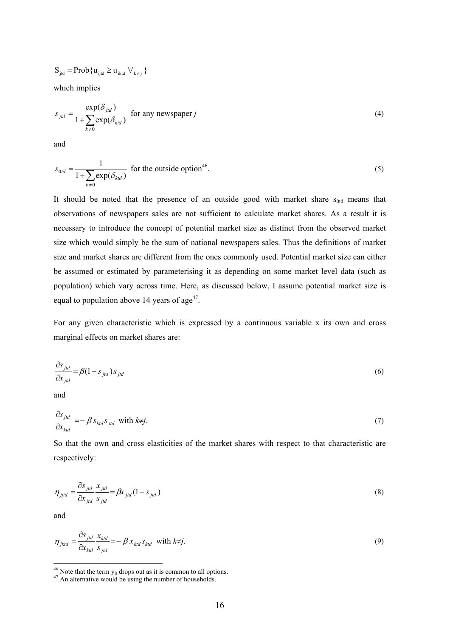$$
S_{_{jtd}} = Prob\{u_{_{ijtd}} \geq u_{_{iktd}} \ \forall_{_{k\neq\,j}}\,\}
$$

which implies

$$
s_{jld} = \frac{\exp(\delta_{jld})}{1 + \sum_{k \neq 0} \exp(\delta_{kld})}
$$
 for any newspaper j (4)

and

$$
s_{0td} = \frac{1}{1 + \sum_{k \neq 0} \exp(\delta_{kd})}
$$
 for the outside option<sup>46</sup>. (5)

It should be noted that the presence of an outside good with market share  $s_{0td}$  means that observations of newspapers sales are not sufficient to calculate market shares. As a result it is necessary to introduce the concept of potential market size as distinct from the observed market size which would simply be the sum of national newspapers sales. Thus the definitions of market size and market shares are different from the ones commonly used. Potential market size can either be assumed or estimated by parameterising it as depending on some market level data (such as population) which vary across time. Here, as discussed below, I assume potential market size is equal to population above 14 years of  $age<sup>47</sup>$ .

For any given characteristic which is expressed by a continuous variable x its own and cross marginal effects on market shares are:

$$
\frac{\partial s_{jld}}{\partial x_{jld}} = \beta (1 - s_{jld}) s_{jld}
$$
(6)

and

$$
\frac{\partial s_{jd}}{\partial x_{kd}} = -\beta s_{kd} s_{jd} \text{ with } k \neq j. \tag{7}
$$

So that the own and cross elasticities of the market shares with respect to that characteristic are respectively:

$$
\eta_{jjtd} = \frac{\partial s_{jd}}{\partial x_{jd}} \frac{x_{jd}}{s_{jd}} = \beta x_{jd} (1 - s_{jd})
$$
\n(8)

and

$$
\eta_{\text{jkd}} = \frac{\partial s_{\text{jtd}}}{\partial x_{\text{kd}}} \frac{x_{\text{kd}}}{s_{\text{jtd}}} = -\beta x_{\text{kd}} s_{\text{kd}} \text{ with } k \neq j. \tag{9}
$$

<span id="page-18-0"></span><sup>&</sup>lt;sup>46</sup> Note that the term  $y_{it}$  drops out as it is common to all options.  $47$  An alternative would be using the number of households.

<span id="page-18-1"></span>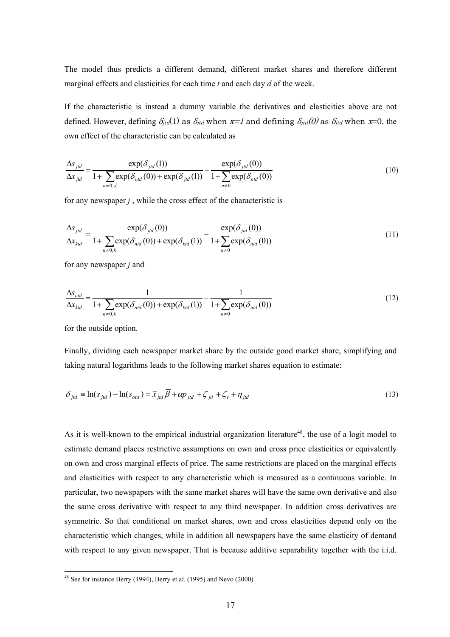The model thus predicts a different demand, different market shares and therefore different marginal effects and elasticities for each time *t* and each day *d* of the week.

If the characteristic is instead a dummy variable the derivatives and elasticities above are not defined. However, defining  $\delta_{jtd}(1)$  as  $\delta_{jtd}$  when x=1 and defining  $\delta_{jtd}(0)$  as  $\delta_{jtd}$  when x=0, the own effect of the characteristic can be calculated as

$$
\frac{\Delta s_{jld}}{\Delta x_{jld}} = \frac{\exp(\delta_{jld}(1))}{1 + \sum_{n \neq 0, J} \exp(\delta_{nld}(0)) + \exp(\delta_{jld}(1))} - \frac{\exp(\delta_{jld}(0))}{1 + \sum_{n \neq 0} \exp(\delta_{nld}(0))}
$$
(10)

for any newspaper *j* , while the cross effect of the characteristic is

$$
\frac{\Delta s_{jid}}{\Delta x_{kd}} = \frac{\exp(\delta_{jid}(0))}{1 + \sum_{n \neq 0,k} \exp(\delta_{nd}(0)) + \exp(\delta_{kd}(1))} - \frac{\exp(\delta_{jid}(0))}{1 + \sum_{n \neq 0} \exp(\delta_{nd}(0))}
$$
(11)

for any newspaper *j* and

$$
\frac{\Delta s_{\text{old}}}{\Delta x_{\text{ktd}}} = \frac{1}{1 + \sum_{n \neq 0, k} \exp(\delta_{\text{nd}}(0)) + \exp(\delta_{\text{ktd}}(1))} - \frac{1}{1 + \sum_{n \neq 0} \exp(\delta_{\text{nd}}(0))}
$$
(12)

for the outside option.

 $\overline{a}$ 

Finally, dividing each newspaper market share by the outside good market share, simplifying and taking natural logarithms leads to the following market shares equation to estimate:

$$
\delta_{jd} \equiv \ln(s_{jd}) - \ln(s_{od}) = \overline{x}_{jd} \overline{\beta} + \alpha p_{jd} + \zeta_{jd} + \zeta_t + \eta_{jd}
$$
\n(13)

As it is well-known to the empirical industrial organization literature<sup>48</sup>, the use of a logit model to estimate demand places restrictive assumptions on own and cross price elasticities or equivalently on own and cross marginal effects of price. The same restrictions are placed on the marginal effects and elasticities with respect to any characteristic which is measured as a continuous variable. In particular, two newspapers with the same market shares will have the same own derivative and also the same cross derivative with respect to any third newspaper. In addition cross derivatives are symmetric. So that conditional on market shares, own and cross elasticities depend only on the characteristic which changes, while in addition all newspapers have the same elasticity of demand with respect to any given newspaper. That is because additive separability together with the i.i.d.

<span id="page-19-0"></span> $48$  See for instance Berry (1994), Berry et al. (1995) and Nevo (2000)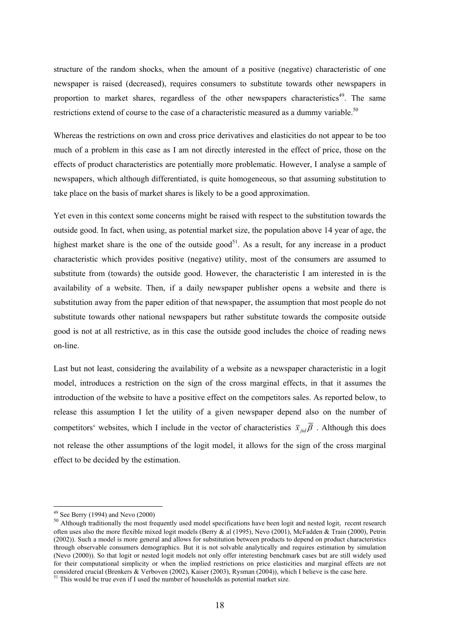structure of the random shocks, when the amount of a positive (negative) characteristic of one newspaper is raised (decreased), requires consumers to substitute towards other newspapers in proportion to market shares, regardless of the other newspapers characteristics<sup>49</sup>. The same restrictions extend of course to the case of a characteristic measured as a dummy variable.<sup>[50](#page-20-1)</sup>

Whereas the restrictions on own and cross price derivatives and elasticities do not appear to be too much of a problem in this case as I am not directly interested in the effect of price, those on the effects of product characteristics are potentially more problematic. However, I analyse a sample of newspapers, which although differentiated, is quite homogeneous, so that assuming substitution to take place on the basis of market shares is likely to be a good approximation.

Yet even in this context some concerns might be raised with respect to the substitution towards the outside good. In fact, when using, as potential market size, the population above 14 year of age, the highest market share is the one of the outside good<sup>51</sup>. As a result, for any increase in a product characteristic which provides positive (negative) utility, most of the consumers are assumed to substitute from (towards) the outside good. However, the characteristic I am interested in is the availability of a website. Then, if a daily newspaper publisher opens a website and there is substitution away from the paper edition of that newspaper, the assumption that most people do not substitute towards other national newspapers but rather substitute towards the composite outside good is not at all restrictive, as in this case the outside good includes the choice of reading news on-line.

Last but not least, considering the availability of a website as a newspaper characteristic in a logit model, introduces a restriction on the sign of the cross marginal effects, in that it assumes the introduction of the website to have a positive effect on the competitors sales. As reported below, to release this assumption I let the utility of a given newspaper depend also on the number of competitors' websites, which I include in the vector of characteristics  $\bar{x}_{i,d}$   $\bar{\beta}$ . Although this does not release the other assumptions of the logit model, it allows for the sign of the cross marginal effect to be decided by the estimation.

<span id="page-20-0"></span> $49$  See Berry (1994) and Nevo (2000)

<span id="page-20-1"></span><sup>&</sup>lt;sup>50</sup> Although traditionally the most frequently used model specifications have been logit and nested logit, recent research often uses also the more flexible mixed logit models (Berry & al (1995), Nevo (2001), McFadden & Train (2000), Petrin (2002)). Such a model is more general and allows for substitution between products to depend on product characteristics through observable consumers demographics. But it is not solvable analytically and requires estimation by simulation (Nevo (2000)). So that logit or nested logit models not only offer interesting benchmark cases but are still widely used for their computational simplicity or when the implied restrictions on price elasticities and marginal effects are not considered crucial (Brenkers & Verboven (2002). Kaiser (2003). Rysman (2004)), which I believe is the c

<span id="page-20-2"></span> $^{51}$  This would be true even if I used the number of households as potential market size.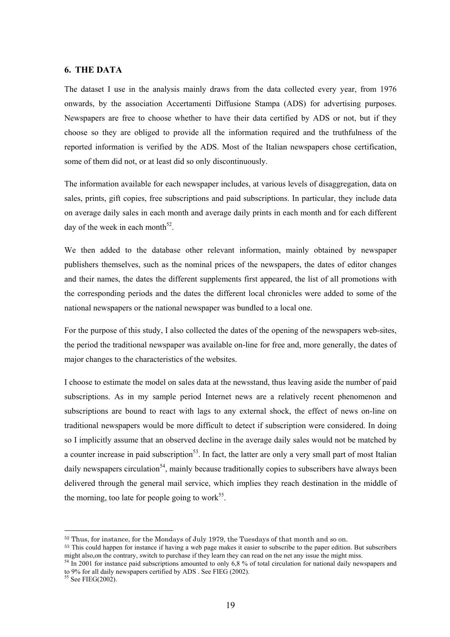#### **6. THE DATA**

The dataset I use in the analysis mainly draws from the data collected every year, from 1976 onwards, by the association Accertamenti Diffusione Stampa (ADS) for advertising purposes. Newspapers are free to choose whether to have their data certified by ADS or not, but if they choose so they are obliged to provide all the information required and the truthfulness of the reported information is verified by the ADS. Most of the Italian newspapers chose certification, some of them did not, or at least did so only discontinuously.

The information available for each newspaper includes, at various levels of disaggregation, data on sales, prints, gift copies, free subscriptions and paid subscriptions. In particular, they include data on average daily sales in each month and average daily prints in each month and for each different day of the week in each month<sup>52</sup>.

We then added to the database other relevant information, mainly obtained by newspaper publishers themselves, such as the nominal prices of the newspapers, the dates of editor changes and their names, the dates the different supplements first appeared, the list of all promotions with the corresponding periods and the dates the different local chronicles were added to some of the national newspapers or the national newspaper was bundled to a local one.

For the purpose of this study, I also collected the dates of the opening of the newspapers web-sites, the period the traditional newspaper was available on-line for free and, more generally, the dates of major changes to the characteristics of the websites.

I choose to estimate the model on sales data at the newsstand, thus leaving aside the number of paid subscriptions. As in my sample period Internet news are a relatively recent phenomenon and subscriptions are bound to react with lags to any external shock, the effect of news on-line on traditional newspapers would be more difficult to detect if subscription were considered. In doing so I implicitly assume that an observed decline in the average daily sales would not be matched by a counter increase in paid subscription<sup>53</sup>. In fact, the latter are only a very small part of most Italian daily newspapers circulation<sup>54</sup>, mainly because traditionally copies to subscribers have always been delivered through the general mail service, which implies they reach destination in the middle of the morning, too late for people going to work<sup>55</sup>.

<span id="page-21-1"></span><span id="page-21-0"></span>

 $52$  Thus, for instance, for the Mondays of July 1979, the Tuesdays of that month and so on.<br> $53$  This could happen for instance if having a web page makes it easier to subscribe to the paper edition. But subscribers migh

<span id="page-21-2"></span> $54$  In 2001 for instance paid subscriptions amounted to only 6.8 % of total circulation for national daily newspapers and to 9% for all daily newspapers certified by ADS . See FIEG (2002).<sup>55</sup> See FIEG(2002).

<span id="page-21-3"></span>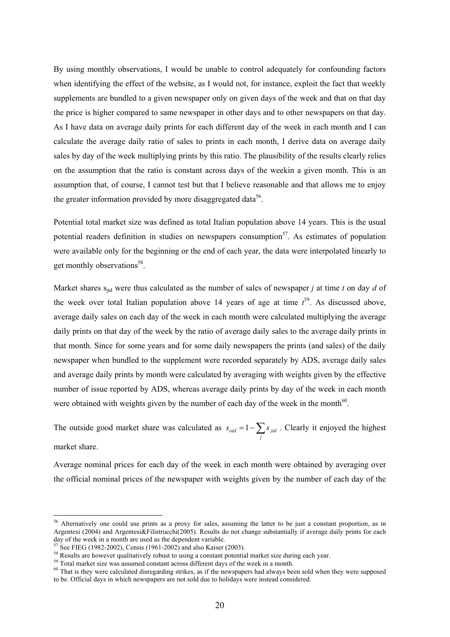By using monthly observations, I would be unable to control adequately for confounding factors when identifying the effect of the website, as I would not, for instance, exploit the fact that weekly supplements are bundled to a given newspaper only on given days of the week and that on that day the price is higher compared to same newspaper in other days and to other newspapers on that day. As I have data on average daily prints for each different day of the week in each month and I can calculate the average daily ratio of sales to prints in each month, I derive data on average daily sales by day of the week multiplying prints by this ratio. The plausibility of the results clearly relies on the assumption that the ratio is constant across days of the weekin a given month. This is an assumption that, of course, I cannot test but that I believe reasonable and that allows me to enjoy the greater information provided by more disaggregated data<sup>56</sup>.

Potential total market size was defined as total Italian population above 14 years. This is the usual potential readers definition in studies on newspapers consumption<sup>57</sup>. As estimates of population were available only for the beginning or the end of each year, the data were interpolated linearly to get monthly observations<sup>58</sup>.

Market shares  $s_{\text{ind}}$  were thus calculated as the number of sales of newspaper *j* at time *t* on day *d* of the week over total Italian population above 14 years of age at time  $t^{59}$ . As discussed above, average daily sales on each day of the week in each month were calculated multiplying the average daily prints on that day of the week by the ratio of average daily sales to the average daily prints in that month. Since for some years and for some daily newspapers the prints (and sales) of the daily newspaper when bundled to the supplement were recorded separately by ADS, average daily sales and average daily prints by month were calculated by averaging with weights given by the effective number of issue reported by ADS, whereas average daily prints by day of the week in each month were obtained with weights given by the number of each day of the week in the month<sup>60</sup>.

The outside good market share was calculated as  $s_{\text{odd}} = 1 - \sum_j$  $s_{\text{odd}} = 1 - \sum s_{\text{jtd}}$ . Clearly it enjoyed the highest market share.

Average nominal prices for each day of the week in each month were obtained by averaging over the official nominal prices of the newspaper with weights given by the number of each day of the

<span id="page-22-0"></span><sup>&</sup>lt;sup>56</sup> Alternatively one could use prints as a proxy for sales, assuming the latter to be just a constant proportion, as in Argentesi (2004) and Argentesi&Filistrucchi(2005). Results do not change substantially if average daily prints for each day of the week in a month are used as the dependent variable.<br><sup>57</sup> See FIEG (1982-2002), Censis (1961-2002) and also Kaiser (2003).<br><sup>58</sup> Results are however qualitatively robust to using a constant potential market size

<span id="page-22-1"></span>

<span id="page-22-2"></span>

<span id="page-22-3"></span>

<span id="page-22-4"></span>to be. Official days in which newspapers are not sold due to holidays were instead considered.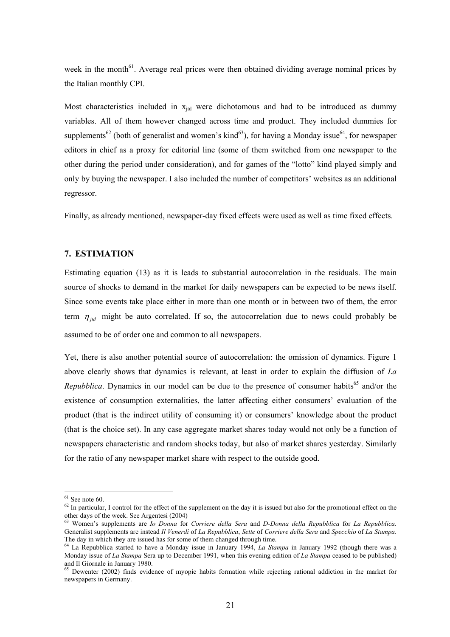week in the month<sup>61</sup>. Average real prices were then obtained dividing average nominal prices by the Italian monthly CPI.

Most characteristics included in  $x_{jtd}$  were dichotomous and had to be introduced as dummy variables. All of them however changed across time and product. They included dummies for supplements<sup>62</sup> (both of generalist and women's kind<sup>63</sup>), for having a Monday issue<sup>64</sup>, for newspaper editors in chief as a proxy for editorial line (some of them switched from one newspaper to the other during the period under consideration), and for games of the "lotto" kind played simply and only by buying the newspaper. I also included the number of competitors' websites as an additional regressor.

Finally, as already mentioned, newspaper-day fixed effects were used as well as time fixed effects.

### **7. ESTIMATION**

Estimating equation (13) as it is leads to substantial autocorrelation in the residuals. The main source of shocks to demand in the market for daily newspapers can be expected to be news itself. Since some events take place either in more than one month or in between two of them, the error term  $\eta_{\text{tid}}$  might be auto correlated. If so, the autocorrelation due to news could probably be assumed to be of order one and common to all newspapers.

Yet, there is also another potential source of autocorrelation: the omission of dynamics. Figure 1 above clearly shows that dynamics is relevant, at least in order to explain the diffusion of *La Repubblica*. Dynamics in our model can be due to the presence of consumer habits<sup>65</sup> and/or the existence of consumption externalities, the latter affecting either consumers' evaluation of the product (that is the indirect utility of consuming it) or consumers' knowledge about the product (that is the choice set). In any case aggregate market shares today would not only be a function of newspapers characteristic and random shocks today, but also of market shares yesterday. Similarly for the ratio of any newspaper market share with respect to the outside good.

<span id="page-23-0"></span> $61$  See note 60.

<span id="page-23-1"></span> $62$  In particular, I control for the effect of the supplement on the day it is issued but also for the promotional effect on the other days of the week. See Argentesi (2004) 63 Women's supplements are *Io Donna* for *Corriere della Sera* and *D-Donna della Repubblica* for *La Repubblica*.

<span id="page-23-2"></span>Generalist supplements are instead *Il Venerdì* of *La Repubblica*, *Sette* of *Corriere della Sera* and *Specchio* of *La Stampa*. The day in which they are issued has for some of them changed through time. 64 La Repubblica started to have a Monday issue in January 1994, *La Stampa* in January 1992 (though there was a

<span id="page-23-3"></span>Monday issue of *La Stampa* Sera up to December 1991, when this evening edition of *La Stampa* ceased to be published) and Il Giornale in January 1980.<br><sup>65</sup> Dewenter (2002) finds evidence of myopic habits formation while rejecting rational addiction in the market for

<span id="page-23-4"></span>newspapers in Germany.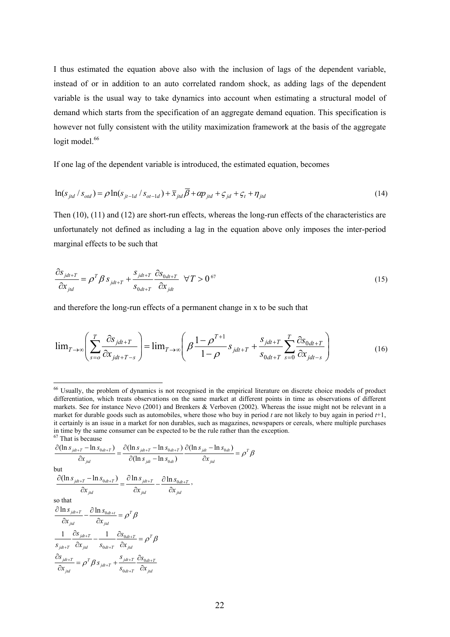I thus estimated the equation above also with the inclusion of lags of the dependent variable, instead of or in addition to an auto correlated random shock, as adding lags of the dependent variable is the usual way to take dynamics into account when estimating a structural model of demand which starts from the specification of an aggregate demand equation. This specification is however not fully consistent with the utility maximization framework at the basis of the aggregate logit model.<sup>66</sup>

If one lag of the dependent variable is introduced, the estimated equation, becomes

$$
\ln(s_{\rm jd} / s_{\rm ord}) = \rho \ln(s_{\rm jt-1d} / s_{\rm ot-1d}) + \bar{x}_{\rm jd} \beta + \alpha p_{\rm jd} + \varsigma_{\rm jd} + \varsigma_t + \eta_{\rm jd}
$$
(14)

Then (10), (11) and (12) are short-run effects, whereas the long-run effects of the characteristics are unfortunately not defined as including a lag in the equation above only imposes the inter-period marginal effects to be such that

$$
\frac{\partial s_{jdt+T}}{\partial x_{jd}} = \rho^T \beta s_{jdt+T} + \frac{s_{jdt+T}}{s_{0dt+T}} \frac{\partial s_{0dt+T}}{\partial x_{jd}} \quad \forall T > 0^{67}
$$
\n
$$
(15)
$$

and therefore the long-run effects of a permanent change in x to be such that

$$
\lim_{T \to \infty} \left( \sum_{s=0}^{T} \frac{\partial s_{jdt+T}}{\partial x_{jdt+T-s}} \right) = \lim_{T \to \infty} \left( \beta \frac{1 - \rho^{T+1}}{1 - \rho} s_{jdt+T} + \frac{s_{jdt+T}}{s_{0dt+T}} \sum_{s=0}^{T} \frac{\partial s_{0dt+T}}{\partial x_{jdt-s}} \right)
$$
(16)

$$
\frac{\partial(\ln s_{jdt+T} - \ln s_{0dt+T})}{\partial x_{jtd}} = \frac{\partial(\ln s_{jdt+T} - \ln s_{0dt+T})}{\partial(\ln s_{jdt} - \ln s_{0dt})} \frac{\partial(\ln s_{jdt} - \ln s_{0dt})}{\partial x_{jtd}} = \rho^T \beta
$$

but

$$
\frac{\partial(\ln s_{jdt+T} - \ln s_{0dt+T})}{\partial x_{jd}} = \frac{\partial \ln s_{jdt+T}}{\partial x_{jtd}} - \frac{\partial \ln s_{0dt+T}}{\partial x_{jtd}},
$$
\nso that\n
$$
\frac{\partial \ln s_{jdt+T}}{\partial x_{jd}} - \frac{\partial \ln s_{0dt+t}}{\partial x_{jd}} = \rho^T \beta
$$
\n
$$
\frac{1}{s_{jdt+T}} \frac{\partial s_{jdt+T}}{\partial x_{jd}} - \frac{1}{s_{0dt+T}} \frac{\partial s_{0dt+T}}{\partial x_{jd}} = \rho^T \beta
$$
\n
$$
\frac{\partial s_{jdt+T}}{\partial x_{jd}} = \rho^T \beta s_{jdt+T} + \frac{s_{jdt+T}}{s_{0dt+T}} \frac{\partial s_{0dt+T}}{\partial x_{jd}}
$$

<span id="page-24-0"></span><sup>&</sup>lt;sup>66</sup> Usually, the problem of dynamics is not recognised in the empirical literature on discrete choice models of product differentiation, which treats observations on the same market at different points in time as observations of different markets. See for instance Nevo (2001) and Brenkers & Verboven (2002). Whereas the issue might not be relevant in a market for durable goods such as automobiles, where those who buy in period *t* are not likely to buy again in period *t*+1, it certainly is an issue in a market for non durables, such as magazines, newspapers or cereals, where multiple purchases in time by the same consumer can be expected to be the rule rather than the exception.  $67$  That is because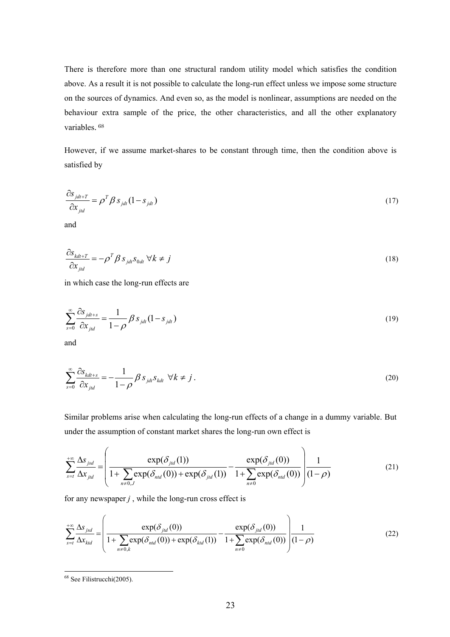There is therefore more than one structural random utility model which satisfies the condition above. As a result it is not possible to calculate the long-run effect unless we impose some structure on the sources of dynamics. And even so, as the model is nonlinear, assumptions are needed on the behaviour extra sample of the price, the other characteristics, and all the other explanatory variables. [68](#page-25-0) 

However, if we assume market-shares to be constant through time, then the condition above is satisfied by

$$
\frac{\partial s_{jdt+T}}{\partial x_{jd}} = \rho^T \beta s_{jdt} (1 - s_{jdt})
$$
\n(17)

and

$$
\frac{\partial s_{kdt+T}}{\partial x_{jtd}} = -\rho^T \beta s_{jdt} s_{0dt} \ \forall k \neq j \tag{18}
$$

in which case the long-run effects are

$$
\sum_{s=0}^{\infty} \frac{\partial s_{jdt+s}}{\partial x_{jtd}} = \frac{1}{1-\rho} \beta s_{jdt} (1-s_{jdt})
$$
\n(19)

and

$$
\sum_{s=0}^{\infty} \frac{\partial S_{kdt+s}}{\partial x_{jtd}} = -\frac{1}{1-\rho} \beta S_{jdt} S_{kdt} \ \forall k \neq j.
$$
\n(20)

Similar problems arise when calculating the long-run effects of a change in a dummy variable. But under the assumption of constant market shares the long-run own effect is

$$
\sum_{s=t}^{+\infty} \frac{\Delta s_{jsd}}{\Delta x_{jd}} = \left( \frac{\exp(\delta_{jd}(1))}{1 + \sum_{n \neq 0, J} \exp(\delta_{nd}(0)) + \exp(\delta_{jd}(1))} - \frac{\exp(\delta_{jd}(0))}{1 + \sum_{n \neq 0} \exp(\delta_{nd}(0))} \right) \frac{1}{(1 - \rho)}
$$
(21)

for any newspaper *j* , while the long-run cross effect is

$$
\sum_{s=t}^{+\infty} \frac{\Delta s_{jsd}}{\Delta x_{kd}} = \left( \frac{\exp(\delta_{jtd}(0))}{1 + \sum_{n \neq 0,k} \exp(\delta_{ntd}(0)) + \exp(\delta_{kd}(1))} - \frac{\exp(\delta_{jtd}(0))}{1 + \sum_{n \neq 0} \exp(\delta_{ntd}(0))} \right) \frac{1}{(1-\rho)}
$$
(22)

<span id="page-25-0"></span><sup>&</sup>lt;sup>68</sup> See Filistrucchi(2005).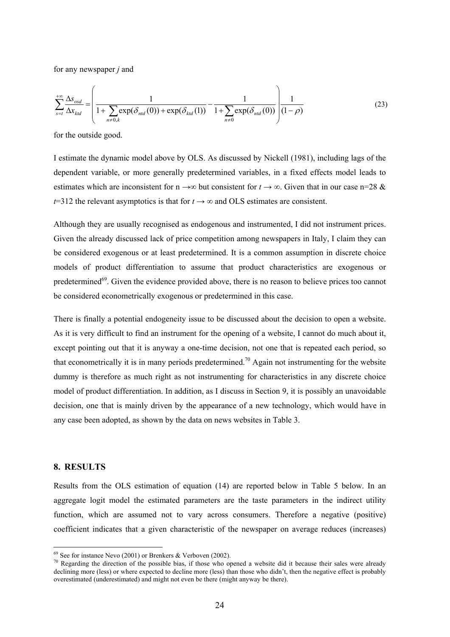for any newspaper *j* and

$$
\sum_{s=t}^{+\infty} \frac{\Delta s_{osd}}{\Delta x_{kd}} = \left( \frac{1}{1 + \sum_{n \neq 0,k} \exp(\delta_{ntd}(0)) + \exp(\delta_{kd}(1))} - \frac{1}{1 + \sum_{n \neq 0} \exp(\delta_{ntd}(0))} \right) \frac{1}{(1 - \rho)}
$$
(23)

for the outside good.

I estimate the dynamic model above by OLS. As discussed by Nickell (1981), including lags of the dependent variable, or more generally predetermined variables, in a fixed effects model leads to estimates which are inconsistent for  $n \rightarrow \infty$  but consistent for  $t \rightarrow \infty$ . Given that in our case n=28 &  $t=312$  the relevant asymptotics is that for  $t \rightarrow \infty$  and OLS estimates are consistent.

Although they are usually recognised as endogenous and instrumented, I did not instrument prices. Given the already discussed lack of price competition among newspapers in Italy, I claim they can be considered exogenous or at least predetermined. It is a common assumption in discrete choice models of product differentiation to assume that product characteristics are exogenous or predetermined<sup>69</sup>. Given the evidence provided above, there is no reason to believe prices too cannot be considered econometrically exogenous or predetermined in this case.

There is finally a potential endogeneity issue to be discussed about the decision to open a website. As it is very difficult to find an instrument for the opening of a website, I cannot do much about it, except pointing out that it is anyway a one-time decision, not one that is repeated each period, so that econometrically it is in many periods predetermined.<sup>70</sup> Again not instrumenting for the website dummy is therefore as much right as not instrumenting for characteristics in any discrete choice model of product differentiation. In addition, as I discuss in Section 9, it is possibly an unavoidable decision, one that is mainly driven by the appearance of a new technology, which would have in any case been adopted, as shown by the data on news websites in Table 3.

#### **8. RESULTS**

 $\overline{a}$ 

Results from the OLS estimation of equation (14) are reported below in Table 5 below. In an aggregate logit model the estimated parameters are the taste parameters in the indirect utility function, which are assumed not to vary across consumers. Therefore a negative (positive) coefficient indicates that a given characteristic of the newspaper on average reduces (increases)

<span id="page-26-0"></span> $69$  See for instance Nevo (2001) or Brenkers & Verboven (2002).

<span id="page-26-1"></span> $70$  Regarding the direction of the possible bias, if those who opened a website did it because their sales were already declining more (less) or where expected to decline more (less) than those who didn't, then the negative effect is probably overestimated (underestimated) and might not even be there (might anyway be there).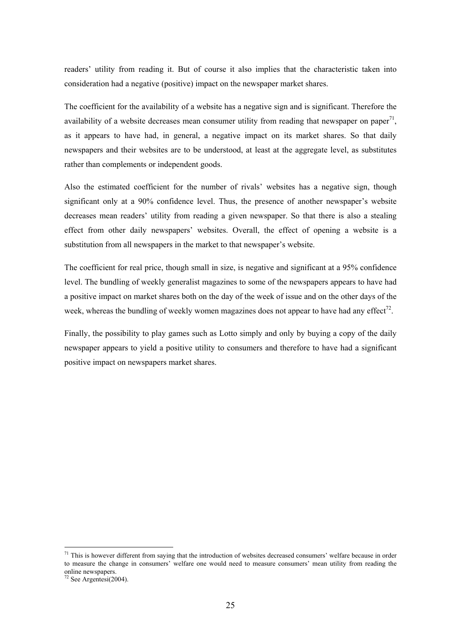readers' utility from reading it. But of course it also implies that the characteristic taken into consideration had a negative (positive) impact on the newspaper market shares.

The coefficient for the availability of a website has a negative sign and is significant. Therefore the availability of a website decreases mean consumer utility from reading that newspaper on paper<sup>71</sup>, as it appears to have had, in general, a negative impact on its market shares. So that daily newspapers and their websites are to be understood, at least at the aggregate level, as substitutes rather than complements or independent goods.

Also the estimated coefficient for the number of rivals' websites has a negative sign, though significant only at a 90% confidence level. Thus, the presence of another newspaper's website decreases mean readers' utility from reading a given newspaper. So that there is also a stealing effect from other daily newspapers' websites. Overall, the effect of opening a website is a substitution from all newspapers in the market to that newspaper's website.

The coefficient for real price, though small in size, is negative and significant at a 95% confidence level. The bundling of weekly generalist magazines to some of the newspapers appears to have had a positive impact on market shares both on the day of the week of issue and on the other days of the week, whereas the bundling of weekly women magazines does not appear to have had any effect<sup>72</sup>.

Finally, the possibility to play games such as Lotto simply and only by buying a copy of the daily newspaper appears to yield a positive utility to consumers and therefore to have had a significant positive impact on newspapers market shares.

<span id="page-27-0"></span> $71$  This is however different from saying that the introduction of websites decreased consumers' welfare because in order to measure the change in consumers' welfare one would need to measure consumers' mean utility from reading the online newspapers.

<span id="page-27-1"></span> $72$  See Argentesi(2004).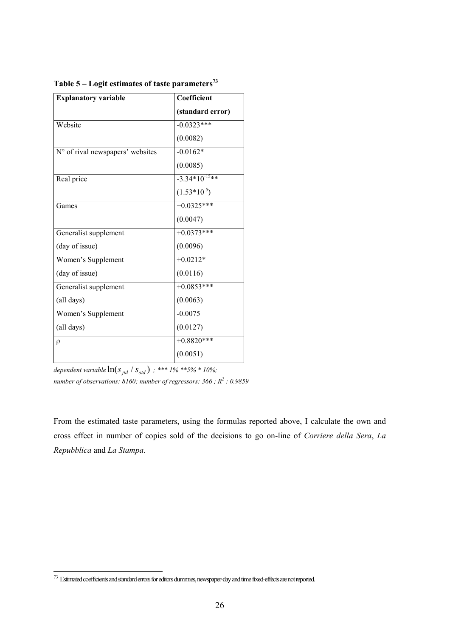| <b>Explanatory variable</b>      | Coefficient        |
|----------------------------------|--------------------|
|                                  | (standard error)   |
| Website                          | $-0.0323***$       |
|                                  | (0.0082)           |
| N° of rival newspapers' websites | $-0.0162*$         |
|                                  | (0.0085)           |
| Real price                       | $-3.34*10^{-15**}$ |
|                                  | $(1.53*10-5)$      |
| Games                            | $+0.0325***$       |
|                                  | (0.0047)           |
| Generalist supplement            | $+0.0373***$       |
| (day of issue)                   | (0.0096)           |
| Women's Supplement               | $+0.0212*$         |
| (day of issue)                   | (0.0116)           |
| Generalist supplement            | $+0.0853***$       |
| (all days)                       | (0.0063)           |
| Women's Supplement               | $-0.0075$          |
| (all days)                       | (0.0127)           |
| $\rho$                           | $+0.8820$ ***      |
|                                  | (0.0051)           |

Table 5 – Logit estimates of taste parameters<sup>73</sup>

*dependent variable*  $\ln(S_{\text{jtd}} / S_{\text{old}})$ ; \*\*\* 1% \*\*5% \* 10%; *number of observations: 8160; number of regressors: 366 ; R<sup>2</sup> : 0.9859* 

From the estimated taste parameters, using the formulas reported above, I calculate the own and cross effect in number of copies sold of the decisions to go on-line of *Corriere della Sera*, *La Repubblica* and *La Stampa*.

<span id="page-28-0"></span> <sup>73</sup> Estimated coefficients and standard errors for editors dummies, newspaper-day and time fixed-effects are not reported.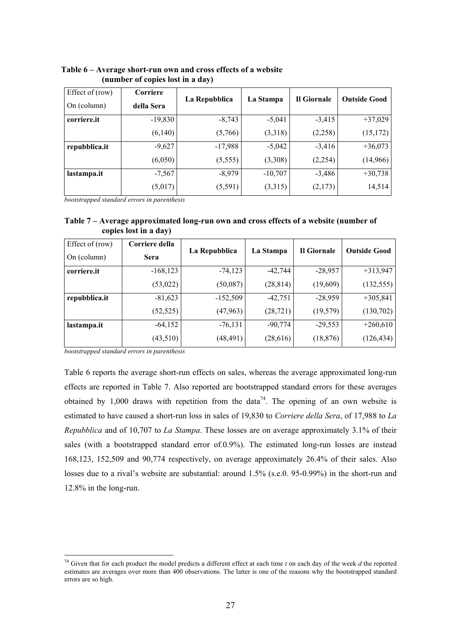| Effect of (row) | Corriere   |               |           | Il Giornale | <b>Outside Good</b> |  |
|-----------------|------------|---------------|-----------|-------------|---------------------|--|
| On (column)     | della Sera | La Repubblica | La Stampa |             |                     |  |
| corriere.it     | $-19,830$  | $-8,743$      | $-5,041$  | $-3,415$    | $+37,029$           |  |
|                 | (6,140)    | (5,766)       | (3,318)   | (2,258)     | (15, 172)           |  |
| repubblica.it   | $-9,627$   | $-17,988$     | $-5,042$  | $-3,416$    | $+36,073$           |  |
|                 | (6,050)    | (5,555)       | (3,308)   | (2,254)     | (14,966)            |  |
| lastampa.it     | $-7,567$   | $-8,979$      | $-10,707$ | $-3,486$    | $+30,738$           |  |
|                 | (5,017)    | (5,591)       | (3,315)   | (2,173)     | 14,514              |  |

 **Table 6 – Average short-run own and cross effects of a website (number of copies lost in a day)** 

*bootstrapped standard errors in parenthesis* 

**Table 7 – Average approximated long-run own and cross effects of a website (number of copies lost in a day)** 

| Effect of (row) | Corriere della |               |           | Il Giornale | <b>Outside Good</b> |  |
|-----------------|----------------|---------------|-----------|-------------|---------------------|--|
| On (column)     | <b>Sera</b>    | La Repubblica | La Stampa |             |                     |  |
| corriere.it     | $-168,123$     | $-74,123$     | $-42,744$ | $-28,957$   | $+313,947$          |  |
|                 | (53, 022)      | (50,087)      | (28, 814) | (19,609)    | (132, 555)          |  |
| repubblica.it   | $-81,623$      | $-152,509$    | $-42,751$ | $-28,959$   | $+305,841$          |  |
|                 | (52, 525)      | (47, 963)     | (28, 721) | (19, 579)   | (130,702)           |  |
| lastampa.it     | $-64,152$      | $-76,131$     | $-90,774$ | $-29,553$   | $+260,610$          |  |
|                 | (43,510)       | (48, 491)     | (28,616)  | (18, 876)   | (126, 434)          |  |

*bootstrapped standard errors in parenthesis* 

Table 6 reports the average short-run effects on sales, whereas the average approximated long-run effects are reported in Table 7. Also reported are bootstrapped standard errors for these averages obtained by 1,000 draws with repetition from the data<sup>74</sup>. The opening of an own website is estimated to have caused a short-run loss in sales of 19,830 to *Corriere della Sera*, of 17,988 to *La Repubblica* and of 10,707 to *La Stampa*. These losses are on average approximately 3.1% of their sales (with a bootstrapped standard error of.0.9%). The estimated long-run losses are instead 168,123, 152,509 and 90,774 respectively, on average approximately 26.4% of their sales. Also losses due to a rival's website are substantial: around 1.5% (s.e.0. 95-0.99%) in the short-run and 12.8% in the long-run.

<span id="page-29-0"></span> <sup>74</sup> Given that for each product the model predicts a different effect at each time *t* on each day of the week *d* the reported estimates are averages over more than 400 observations. The latter is one of the reasons why the bootstrapped standard errors are so high.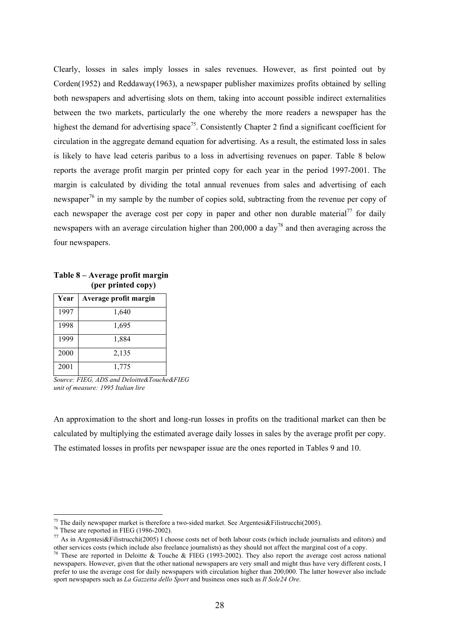Clearly, losses in sales imply losses in sales revenues. However, as first pointed out by Corden(1952) and Reddaway(1963), a newspaper publisher maximizes profits obtained by selling both newspapers and advertising slots on them, taking into account possible indirect externalities between the two markets, particularly the one whereby the more readers a newspaper has the highest the demand for advertising space<sup>75</sup>. Consistently Chapter 2 find a significant coefficient for circulation in the aggregate demand equation for advertising. As a result, the estimated loss in sales is likely to have lead ceteris paribus to a loss in advertising revenues on paper. Table 8 below reports the average profit margin per printed copy for each year in the period 1997-2001. The margin is calculated by dividing the total annual revenues from sales and advertising of each newspaper<sup>[76](#page-30-1)</sup> in my sample by the number of copies sold, subtracting from the revenue per copy of each newspaper the average cost per copy in paper and other non durable material<sup>77</sup> for daily newspapers with an average circulation higher than  $200,000$  a day<sup>78</sup> and then averaging across the four newspapers.

| Year | Average profit margin |
|------|-----------------------|
| 1997 | 1,640                 |
| 1998 | 1,695                 |
| 1999 | 1,884                 |
| 2000 | 2,135                 |
| 2001 | 1,775                 |

**Table 8 – Average profit margin (per printed copy)** 

*Source: FIEG, ADS and Deloitte&Touche&FIEG unit of measure: 1995 Italian lire* 

An approximation to the short and long-run losses in profits on the traditional market can then be calculated by multiplying the estimated average daily losses in sales by the average profit per copy. The estimated losses in profits per newspaper issue are the ones reported in Tables 9 and 10.

<sup>&</sup>lt;sup>75</sup> The daily newspaper market is therefore a two-sided market. See Argentesi&Filistrucchi(2005).<br><sup>76</sup> These are reported in FIEG (1986-2002).

<span id="page-30-1"></span><span id="page-30-0"></span>

<span id="page-30-2"></span><sup>&</sup>lt;sup>77</sup> As in Argentesi&Filistrucchi(2005) I choose costs net of both labour costs (which include journalists and editors) and other services costs (which include also freelance journalists) as they should not affect the marginal cost of a copy.<br><sup>78</sup> These are reported in Deloitte & Touche & FIEG (1993-2002). They also report the average cost acr

<span id="page-30-3"></span>newspapers. However, given that the other national newspapers are very small and might thus have very different costs, I prefer to use the average cost for daily newspapers with circulation higher than 200,000. The latter however also include sport newspapers such as *La Gazzetta dello Sport* and business ones such as *Il Sole24 Ore*.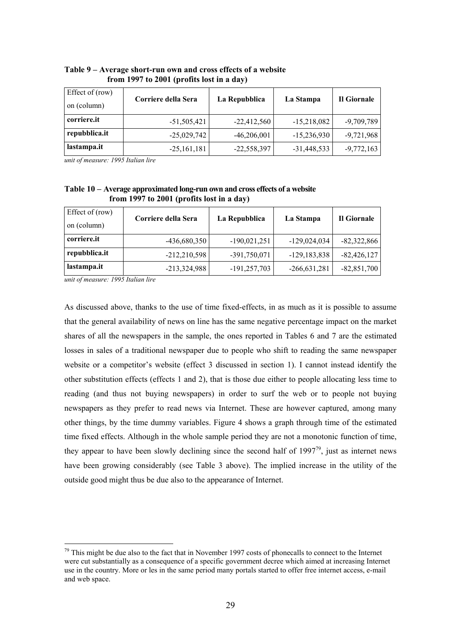| Effect of (row)<br>on (column) | Corriere della Sera | La Repubblica | La Stampa     | Il Giornale  |
|--------------------------------|---------------------|---------------|---------------|--------------|
| corriere.it                    | $-51,505,421$       | $-22,412,560$ | $-15,218,082$ | $-9,709,789$ |
| repubblica.it                  | $-25,029,742$       | $-46,206,001$ | $-15,236,930$ | $-9,721,968$ |
| lastampa.it                    | $-25,161,181$       | $-22,558,397$ | $-31,448,533$ | $-9,772,163$ |

**Table 9 – Average short-run own and cross effects of a website from 1997 to 2001 (profits lost in a day)** 

*unit of measure: 1995 Italian lire* 

**Table 10 – Average approximated long-run own and cross effects of a website from 1997 to 2001 (profits lost in a day)** 

| Effect of (row)<br>on (column) | Corriere della Sera | La Repubblica  | La Stampa        | Il Giornale   |
|--------------------------------|---------------------|----------------|------------------|---------------|
| corriere.it                    | $-436,680,350$      | $-190,021,251$ | $-129,024,034$   | $-82,322,866$ |
| repubblica.it                  | $-212,210,598$      | $-391,750,071$ | $-129, 183, 838$ | $-82,426,127$ |
| lastampa.it                    | $-213,324,988$      | $-191,257,703$ | $-266,631,281$   | $-82,851,700$ |

*unit of measure: 1995 Italian lire* 

As discussed above, thanks to the use of time fixed-effects, in as much as it is possible to assume that the general availability of news on line has the same negative percentage impact on the market shares of all the newspapers in the sample, the ones reported in Tables 6 and 7 are the estimated losses in sales of a traditional newspaper due to people who shift to reading the same newspaper website or a competitor's website (effect 3 discussed in section 1). I cannot instead identify the other substitution effects (effects 1 and 2), that is those due either to people allocating less time to reading (and thus not buying newspapers) in order to surf the web or to people not buying newspapers as they prefer to read news via Internet. These are however captured, among many other things, by the time dummy variables. Figure 4 shows a graph through time of the estimated time fixed effects. Although in the whole sample period they are not a monotonic function of time, they appear to have been slowly declining since the second half of  $1997^{79}$ , just as internet news have been growing considerably (see Table 3 above). The implied increase in the utility of the outside good might thus be due also to the appearance of Internet.

<span id="page-31-0"></span> $79$  This might be due also to the fact that in November 1997 costs of phonecalls to connect to the Internet were cut substantially as a consequence of a specific government decree which aimed at increasing Internet use in the country. More or les in the same period many portals started to offer free internet access, e-mail and web space.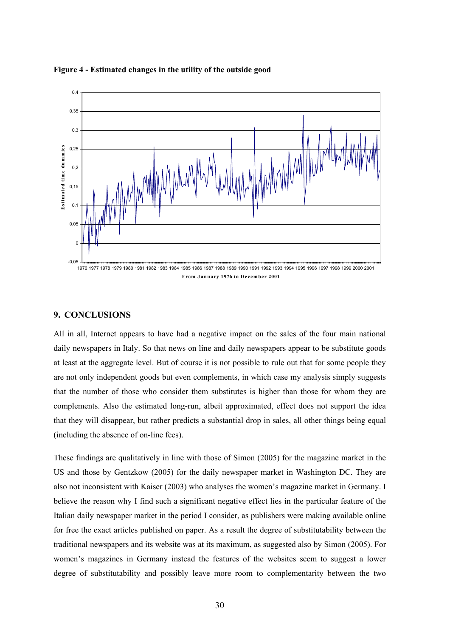

**Figure 4 - Estimated changes in the utility of the outside good** 

### **9. CONCLUSIONS**

All in all, Internet appears to have had a negative impact on the sales of the four main national daily newspapers in Italy. So that news on line and daily newspapers appear to be substitute goods at least at the aggregate level. But of course it is not possible to rule out that for some people they are not only independent goods but even complements, in which case my analysis simply suggests that the number of those who consider them substitutes is higher than those for whom they are complements. Also the estimated long-run, albeit approximated, effect does not support the idea that they will disappear, but rather predicts a substantial drop in sales, all other things being equal (including the absence of on-line fees).

These findings are qualitatively in line with those of Simon (2005) for the magazine market in the US and those by Gentzkow (2005) for the daily newspaper market in Washington DC. They are also not inconsistent with Kaiser (2003) who analyses the women's magazine market in Germany. I believe the reason why I find such a significant negative effect lies in the particular feature of the Italian daily newspaper market in the period I consider, as publishers were making available online for free the exact articles published on paper. As a result the degree of substitutability between the traditional newspapers and its website was at its maximum, as suggested also by Simon (2005). For women's magazines in Germany instead the features of the websites seem to suggest a lower degree of substitutability and possibly leave more room to complementarity between the two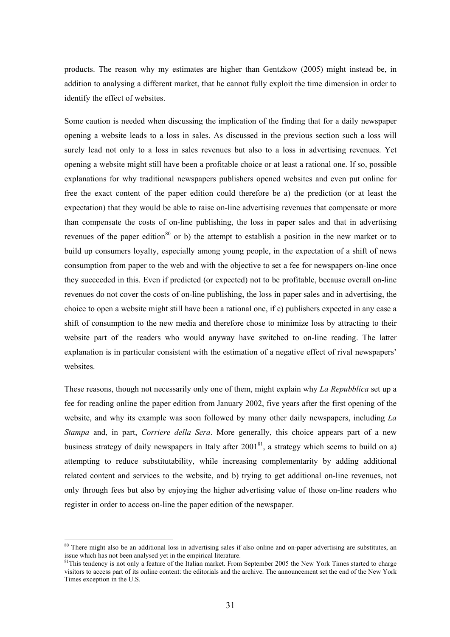products. The reason why my estimates are higher than Gentzkow (2005) might instead be, in addition to analysing a different market, that he cannot fully exploit the time dimension in order to identify the effect of websites.

Some caution is needed when discussing the implication of the finding that for a daily newspaper opening a website leads to a loss in sales. As discussed in the previous section such a loss will surely lead not only to a loss in sales revenues but also to a loss in advertising revenues. Yet opening a website might still have been a profitable choice or at least a rational one. If so, possible explanations for why traditional newspapers publishers opened websites and even put online for free the exact content of the paper edition could therefore be a) the prediction (or at least the expectation) that they would be able to raise on-line advertising revenues that compensate or more than compensate the costs of on-line publishing, the loss in paper sales and that in advertising revenues of the paper edition<sup>[80](#page-33-0)</sup> or b) the attempt to establish a position in the new market or to build up consumers loyalty, especially among young people, in the expectation of a shift of news consumption from paper to the web and with the objective to set a fee for newspapers on-line once they succeeded in this. Even if predicted (or expected) not to be profitable, because overall on-line revenues do not cover the costs of on-line publishing, the loss in paper sales and in advertising, the choice to open a website might still have been a rational one, if c) publishers expected in any case a shift of consumption to the new media and therefore chose to minimize loss by attracting to their website part of the readers who would anyway have switched to on-line reading. The latter explanation is in particular consistent with the estimation of a negative effect of rival newspapers' websites.

These reasons, though not necessarily only one of them, might explain why *La Repubblica* set up a fee for reading online the paper edition from January 2002, five years after the first opening of the website, and why its example was soon followed by many other daily newspapers, including *La Stampa* and, in part, *Corriere della Sera*. More generally, this choice appears part of a new business strategy of daily newspapers in Italy after 2001<sup>81</sup>, a strategy which seems to build on a) attempting to reduce substitutability, while increasing complementarity by adding additional related content and services to the website, and b) trying to get additional on-line revenues, not only through fees but also by enjoying the higher advertising value of those on-line readers who register in order to access on-line the paper edition of the newspaper.

<span id="page-33-0"></span><sup>&</sup>lt;sup>80</sup> There might also be an additional loss in advertising sales if also online and on-paper advertising are substitutes, an issue which has not been analysed yet in the empirical literature.

<span id="page-33-1"></span> $\frac{81}{10}$  This tendency is not only a feature of the Italian market. From September 2005 the New York Times started to charge visitors to access part of its online content: the editorials and the archive. The announcement set the end of the New York Times exception in the U.S.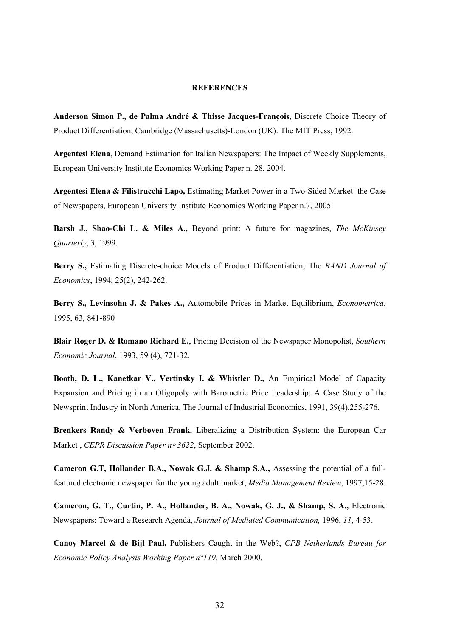#### **REFERENCES**

**Anderson Simon P., de Palma André & Thisse Jacques-François**, Discrete Choice Theory of Product Differentiation, Cambridge (Massachusetts)-London (UK): The MIT Press, 1992.

**Argentesi Elena**, Demand Estimation for Italian Newspapers: The Impact of Weekly Supplements, European University Institute Economics Working Paper n. 28, 2004.

**Argentesi Elena & Filistrucchi Lapo,** Estimating Market Power in a Two-Sided Market: the Case of Newspapers, European University Institute Economics Working Paper n.7, 2005.

**Barsh J., Shao-Chi L. & Miles A.,** Beyond print: A future for magazines, *The McKinsey Quarterly*, 3, 1999.

**Berry S.,** Estimating Discrete-choice Models of Product Differentiation, The *RAND Journal of Economics*, 1994, 25(2), 242-262.

**Berry S., Levinsohn J. & Pakes A.,** Automobile Prices in Market Equilibrium, *Econometrica*, 1995, 63, 841-890

**Blair Roger D. & Romano Richard E.**, Pricing Decision of the Newspaper Monopolist, *Southern Economic Journal*, 1993, 59 (4), 721-32.

**Booth, D. L., Kanetkar V., Vertinsky I. & Whistler D.,** An Empirical Model of Capacity Expansion and Pricing in an Oligopoly with Barometric Price Leadership: A Case Study of the Newsprint Industry in North America, The Journal of Industrial Economics, 1991, 39(4),255-276.

**Brenkers Randy & Verboven Frank**, Liberalizing a Distribution System: the European Car Market , *CEPR Discussion Paper n*◦ *3622*, September 2002.

**Cameron G.T, Hollander B.A., Nowak G.J. & Shamp S.A.,** Assessing the potential of a fullfeatured electronic newspaper for the young adult market, *Media Management Review*, 1997,15-28.

**Cameron, G. T., Curtin, P. A., Hollander, B. A., Nowak, G. J., & Shamp, S. A.,** Electronic Newspapers: Toward a Research Agenda, *Journal of Mediated Communication,* 1996, *11*, 4-53.

**Canoy Marcel & de Bijl Paul,** Publishers Caught in the Web?, *CPB Netherlands Bureau for Economic Policy Analysis Working Paper n°119*, March 2000.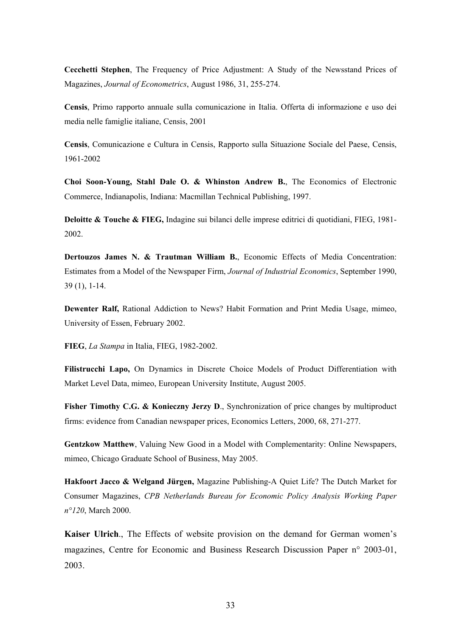**Cecchetti Stephen**, The Frequency of Price Adjustment: A Study of the Newsstand Prices of Magazines, *Journal of Econometrics*, August 1986, 31, 255-274.

**Censis**, Primo rapporto annuale sulla comunicazione in Italia. Offerta di informazione e uso dei media nelle famiglie italiane, Censis, 2001

**Censis**, Comunicazione e Cultura in Censis, Rapporto sulla Situazione Sociale del Paese, Censis, 1961-2002

**Choi Soon-Young, Stahl Dale O. & Whinston Andrew B.**, The Economics of Electronic Commerce, Indianapolis, Indiana: Macmillan Technical Publishing, 1997.

**Deloitte & Touche & FIEG,** Indagine sui bilanci delle imprese editrici di quotidiani, FIEG, 1981- 2002.

**Dertouzos James N. & Trautman William B.**, Economic Effects of Media Concentration: Estimates from a Model of the Newspaper Firm, *Journal of Industrial Economics*, September 1990, 39 (1), 1-14.

**Dewenter Ralf,** Rational Addiction to News? Habit Formation and Print Media Usage, mimeo, University of Essen, February 2002.

**FIEG**, *La Stampa* in Italia, FIEG, 1982-2002.

**Filistrucchi Lapo,** On Dynamics in Discrete Choice Models of Product Differentiation with Market Level Data, mimeo, European University Institute, August 2005.

**Fisher Timothy C.G. & Konieczny Jerzy D., Synchronization of price changes by multiproduct** firms: evidence from Canadian newspaper prices, Economics Letters, 2000, 68, 271-277.

**Gentzkow Matthew**, Valuing New Good in a Model with Complementarity: Online Newspapers, mimeo, Chicago Graduate School of Business, May 2005.

**Hakfoort Jacco & Welgand Jürgen,** Magazine Publishing-A Quiet Life? The Dutch Market for Consumer Magazines, *CPB Netherlands Bureau for Economic Policy Analysis Working Paper n°120*, March 2000.

**Kaiser Ulrich**., The Effects of website provision on the demand for German women's magazines, Centre for Economic and Business Research Discussion Paper n° 2003-01, 2003.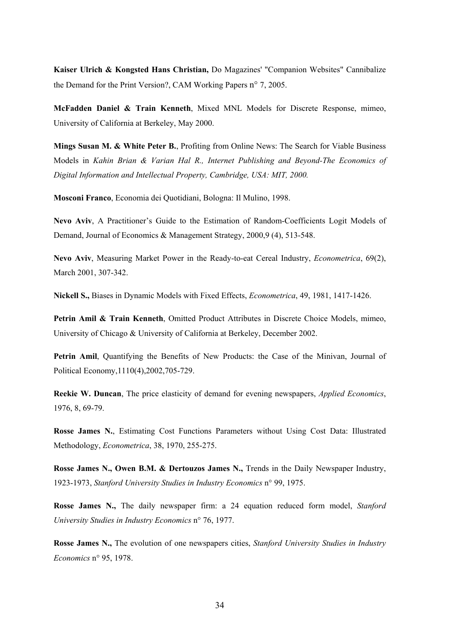**Kaiser Ulrich & Kongsted Hans Christian,** Do Magazines' "Companion Websites" Cannibalize the Demand for the Print Version?, CAM Working Papers n° 7, 2005.

**McFadden Daniel & Train Kenneth**, Mixed MNL Models for Discrete Response, mimeo, University of California at Berkeley, May 2000.

**Mings Susan M. & White Peter B.**, Profiting from Online News: The Search for Viable Business Models in *Kahin Brian & Varian Hal R., Internet Publishing and Beyond-The Economics of Digital Information and Intellectual Property, Cambridge, USA: MIT, 2000.* 

**Mosconi Franco**, Economia dei Quotidiani, Bologna: Il Mulino, 1998.

**Nevo Aviv**, A Practitioner's Guide to the Estimation of Random-Coefficients Logit Models of Demand, Journal of Economics & Management Strategy, 2000,9 (4), 513-548.

**Nevo Aviv**, Measuring Market Power in the Ready-to-eat Cereal Industry, *Econometrica*, 69(2), March 2001, 307-342.

**Nickell S.,** Biases in Dynamic Models with Fixed Effects, *Econometrica*, 49, 1981, 1417-1426.

Petrin Amil & Train Kenneth, Omitted Product Attributes in Discrete Choice Models, mimeo, University of Chicago & University of California at Berkeley, December 2002.

**Petrin Amil**, Quantifying the Benefits of New Products: the Case of the Minivan, Journal of Political Economy,1110(4),2002,705-729.

**Reekie W. Duncan**, The price elasticity of demand for evening newspapers, *Applied Economics*, 1976, 8, 69-79.

**Rosse James N.**, Estimating Cost Functions Parameters without Using Cost Data: Illustrated Methodology, *Econometrica*, 38, 1970, 255-275.

**Rosse James N., Owen B.M. & Dertouzos James N.,** Trends in the Daily Newspaper Industry, 1923-1973, *Stanford University Studies in Industry Economics* n° 99, 1975.

**Rosse James N.,** The daily newspaper firm: a 24 equation reduced form model, *Stanford University Studies in Industry Economics* n° 76, 1977.

**Rosse James N.,** The evolution of one newspapers cities, *Stanford University Studies in Industry Economics* n° 95, 1978.